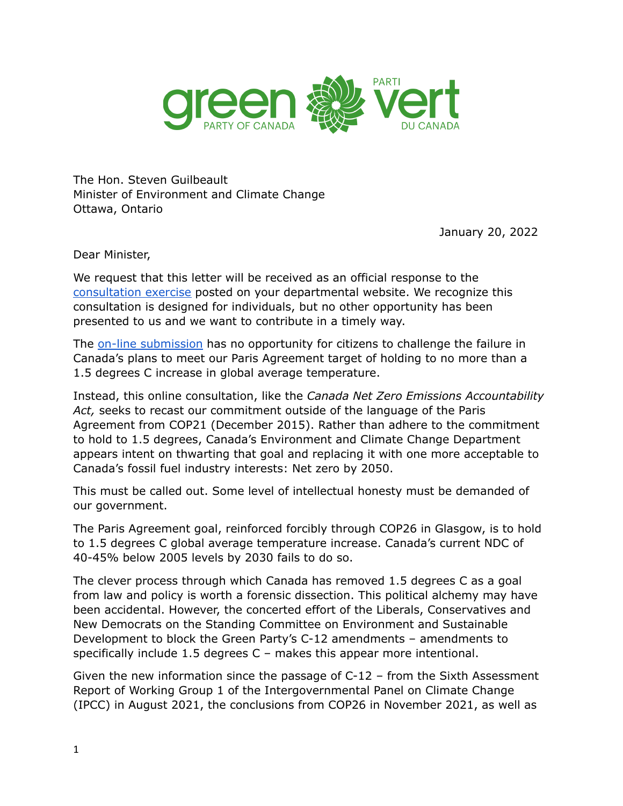

The Hon. Steven Guilbeault Minister of Environment and Climate Change Ottawa, Ontario

January 20, 2022

Dear Minister,

We request that this letter will be received as an official response to the [consultation](https://www.canada.ca/en/services/environment/weather/climatechange/climate-plan/net-zero-emissions-2050.html) exercise posted on your departmental website. We recognize this consultation is designed for individuals, but no other opportunity has been presented to us and we want to contribute in a timely way.

The on-line [submission](https://eccc.sondage-survey.ca/f/s.aspx?s=4132165a-69ff-455b-9208-24be193aa656&lang=EN) has no opportunity for citizens to challenge the failure in Canada's plans to meet our Paris Agreement target of holding to no more than a 1.5 degrees C increase in global average temperature.

Instead, this online consultation, like the *Canada Net Zero Emissions Accountability Act,* seeks to recast our commitment outside of the language of the Paris Agreement from COP21 (December 2015). Rather than adhere to the commitment to hold to 1.5 degrees, Canada's Environment and Climate Change Department appears intent on thwarting that goal and replacing it with one more acceptable to Canada's fossil fuel industry interests: Net zero by 2050.

This must be called out. Some level of intellectual honesty must be demanded of our government.

The Paris Agreement goal, reinforced forcibly through COP26 in Glasgow, is to hold to 1.5 degrees C global average temperature increase. Canada's current NDC of 40-45% below 2005 levels by 2030 fails to do so.

The clever process through which Canada has removed 1.5 degrees C as a goal from law and policy is worth a forensic dissection. This political alchemy may have been accidental. However, the concerted effort of the Liberals, Conservatives and New Democrats on the Standing Committee on Environment and Sustainable Development to block the Green Party's C-12 amendments – amendments to specifically include 1.5 degrees C – makes this appear more intentional.

Given the new information since the passage of C-12 – from the Sixth Assessment Report of Working Group 1 of the Intergovernmental Panel on Climate Change (IPCC) in August 2021, the conclusions from COP26 in November 2021, as well as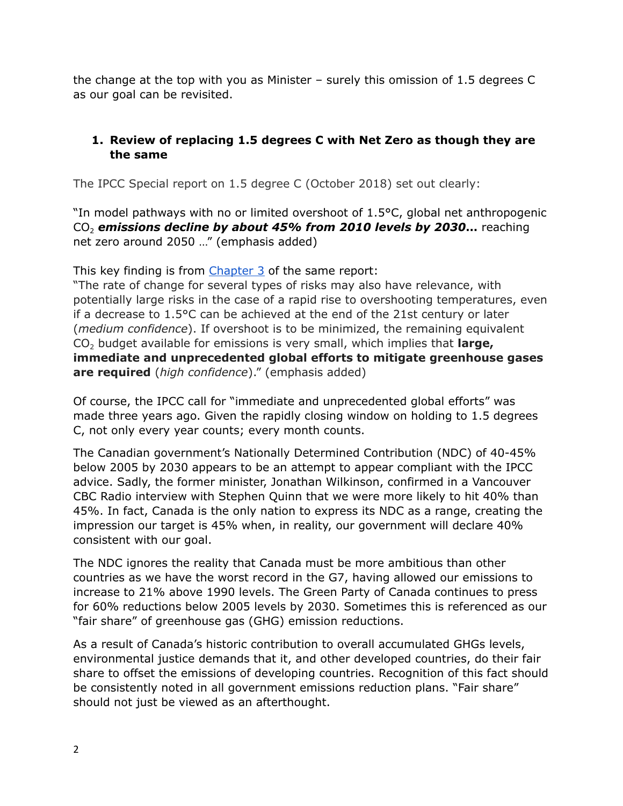the change at the top with you as Minister – surely this omission of 1.5 degrees C as our goal can be revisited.

### **1. Review of replacing 1.5 degrees C with Net Zero as though they are the same**

The IPCC Special report on 1.5 degree C (October 2018) set out clearly:

"In model pathways with no or limited overshoot of 1.5°C, global net anthropogenic CO<sup>2</sup> *emissions decline by about 45% from 2010 levels by 2030***…** reaching net zero around 2050 …" (emphasis added)

This key finding is from [Chapter](https://www.ipcc.ch/sr15/chapter/chapter-3/) 3 of the same report:

"The rate of change for several types of risks may also have relevance, with potentially large risks in the case of a rapid rise to overshooting temperatures, even if a decrease to 1.5°C can be achieved at the end of the 21st century or later (*medium confidence*). If overshoot is to be minimized, the remaining equivalent CO<sup>2</sup> budget available for emissions is very small, which implies that **large, immediate and unprecedented global efforts to mitigate greenhouse gases are required** (*high confidence*)." (emphasis added)

Of course, the IPCC call for "immediate and unprecedented global efforts" was made three years ago. Given the rapidly closing window on holding to 1.5 degrees C, not only every year counts; every month counts.

The Canadian government's Nationally Determined Contribution (NDC) of 40-45% below 2005 by 2030 appears to be an attempt to appear compliant with the IPCC advice. Sadly, the former minister, Jonathan Wilkinson, confirmed in a Vancouver CBC Radio interview with Stephen Quinn that we were more likely to hit 40% than 45%. In fact, Canada is the only nation to express its NDC as a range, creating the impression our target is 45% when, in reality, our government will declare 40% consistent with our goal.

The NDC ignores the reality that Canada must be more ambitious than other countries as we have the worst record in the G7, having allowed our emissions to increase to 21% above 1990 levels. The Green Party of Canada continues to press for 60% reductions below 2005 levels by 2030. Sometimes this is referenced as our "fair share" of greenhouse gas (GHG) emission reductions.

As a result of Canada's historic contribution to overall accumulated GHGs levels, environmental justice demands that it, and other developed countries, do their fair share to offset the emissions of developing countries. Recognition of this fact should be consistently noted in all government emissions reduction plans. "Fair share" should not just be viewed as an afterthought.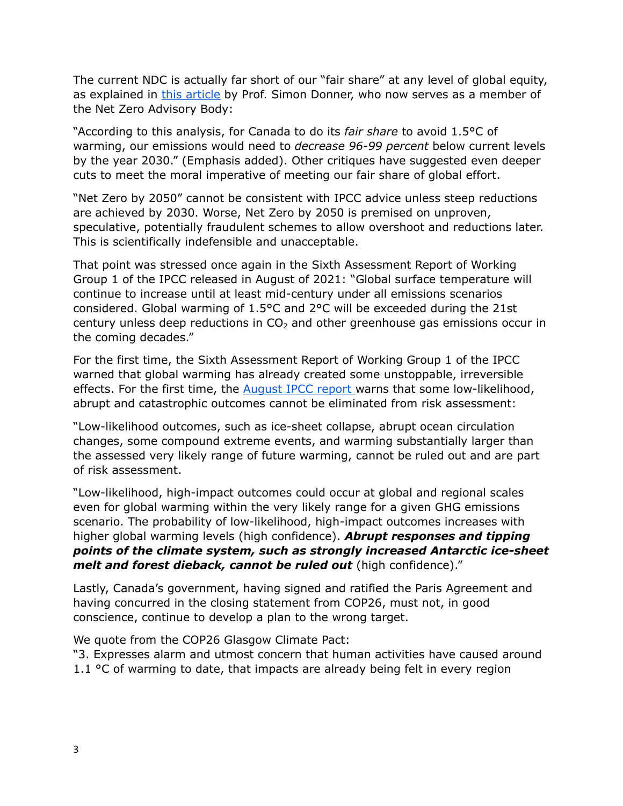The current NDC is actually far short of our "fair share" at any level of global equity, as explained in this [article](https://policyoptions.irpp.org/magazines/october-2019/no-partys-climate-plan-will-avoid-dangerous-global-warming-levels/) by Prof. Simon Donner, who now serves as a member of the Net Zero Advisory Body:

"According to this analysis, for Canada to do its *fair share* to avoid 1.5°C of warming, our emissions would need to *decrease 96-99 percent* below current levels by the year 2030." (Emphasis added). Other critiques have suggested even deeper cuts to meet the moral imperative of meeting our fair share of global effort.

"Net Zero by 2050" cannot be consistent with IPCC advice unless steep reductions are achieved by 2030. Worse, Net Zero by 2050 is premised on unproven, speculative, potentially fraudulent schemes to allow overshoot and reductions later. This is scientifically indefensible and unacceptable.

That point was stressed once again in the Sixth Assessment Report of Working Group 1 of the IPCC released in August of 2021: "Global surface temperature will continue to increase until at least mid-century under all emissions scenarios considered. Global warming of 1.5°C and 2°C will be exceeded during the 21st century unless deep reductions in  $CO<sub>2</sub>$  and other greenhouse gas emissions occur in the coming decades."

For the first time, the Sixth Assessment Report of Working Group 1 of the IPCC warned that global warming has already created some unstoppable, irreversible effects. For the first time, the [August](https://www.ipcc.ch/report/ar6/wg1/downloads/report/IPCC_AR6_WGI_SPM_final.pdf%20)) IPCC report warns that some low-likelihood, abrupt and catastrophic outcomes cannot be eliminated from risk assessment:

"Low-likelihood outcomes, such as ice-sheet collapse, abrupt ocean circulation changes, some compound extreme events, and warming substantially larger than the assessed very likely range of future warming, cannot be ruled out and are part of risk assessment.

"Low-likelihood, high-impact outcomes could occur at global and regional scales even for global warming within the very likely range for a given GHG emissions scenario. The probability of low-likelihood, high-impact outcomes increases with higher global warming levels (high confidence). *Abrupt responses and tipping points of the climate system, such as strongly increased Antarctic ice-sheet melt and forest dieback, cannot be ruled out* (high confidence)."

Lastly, Canada's government, having signed and ratified the Paris Agreement and having concurred in the closing statement from COP26, must not, in good conscience, continue to develop a plan to the wrong target.

We quote from the COP26 Glasgow Climate Pact:

"3. Expresses alarm and utmost concern that human activities have caused around 1.1  $\degree$ C of warming to date, that impacts are already being felt in every region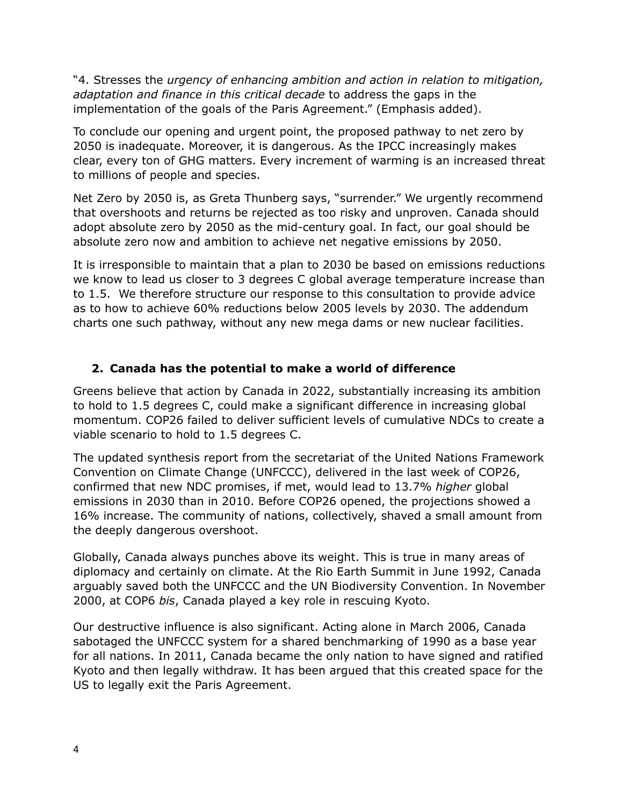"4. Stresses the *urgency of enhancing ambition and action in relation to mitigation, adaptation and finance in this critical decade* to address the gaps in the implementation of the goals of the Paris Agreement." (Emphasis added).

To conclude our opening and urgent point, the proposed pathway to net zero by 2050 is inadequate. Moreover, it is dangerous. As the IPCC increasingly makes clear, every ton of GHG matters. Every increment of warming is an increased threat to millions of people and species.

Net Zero by 2050 is, as Greta Thunberg says, "surrender." We urgently recommend that overshoots and returns be rejected as too risky and unproven. Canada should adopt absolute zero by 2050 as the mid-century goal. In fact, our goal should be absolute zero now and ambition to achieve net negative emissions by 2050.

It is irresponsible to maintain that a plan to 2030 be based on emissions reductions we know to lead us closer to 3 degrees C global average temperature increase than to 1.5. We therefore structure our response to this consultation to provide advice as to how to achieve 60% reductions below 2005 levels by 2030. The addendum charts one such pathway, without any new mega dams or new nuclear facilities.

### **2. Canada has the potential to make a world of difference**

Greens believe that action by Canada in 2022, substantially increasing its ambition to hold to 1.5 degrees C, could make a significant difference in increasing global momentum. COP26 failed to deliver sufficient levels of cumulative NDCs to create a viable scenario to hold to 1.5 degrees C.

The updated synthesis report from the secretariat of the United Nations Framework Convention on Climate Change (UNFCCC), delivered in the last week of COP26, confirmed that new NDC promises, if met, would lead to 13.7% *higher* global emissions in 2030 than in 2010. Before COP26 opened, the projections showed a 16% increase. The community of nations, collectively, shaved a small amount from the deeply dangerous overshoot.

Globally, Canada always punches above its weight. This is true in many areas of diplomacy and certainly on climate. At the Rio Earth Summit in June 1992, Canada arguably saved both the UNFCCC and the UN Biodiversity Convention. In November 2000, at COP6 *bis*, Canada played a key role in rescuing Kyoto.

Our destructive influence is also significant. Acting alone in March 2006, Canada sabotaged the UNFCCC system for a shared benchmarking of 1990 as a base year for all nations. In 2011, Canada became the only nation to have signed and ratified Kyoto and then legally withdraw. It has been argued that this created space for the US to legally exit the Paris Agreement.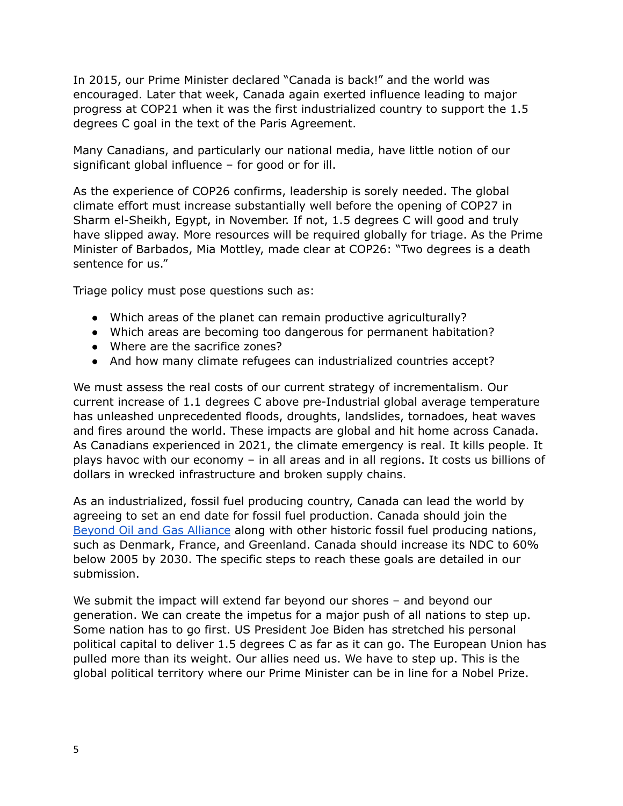In 2015, our Prime Minister declared "Canada is back!" and the world was encouraged. Later that week, Canada again exerted influence leading to major progress at COP21 when it was the first industrialized country to support the 1.5 degrees C goal in the text of the Paris Agreement.

Many Canadians, and particularly our national media, have little notion of our significant global influence – for good or for ill.

As the experience of COP26 confirms, leadership is sorely needed. The global climate effort must increase substantially well before the opening of COP27 in Sharm el-Sheikh, Egypt, in November. If not, 1.5 degrees C will good and truly have slipped away. More resources will be required globally for triage. As the Prime Minister of Barbados, Mia Mottley, made clear at COP26: "Two degrees is a death sentence for us."

Triage policy must pose questions such as:

- Which areas of the planet can remain productive agriculturally?
- Which areas are becoming too dangerous for permanent habitation?
- Where are the sacrifice zones?
- And how many climate refugees can industrialized countries accept?

We must assess the real costs of our current strategy of incrementalism. Our current increase of 1.1 degrees C above pre-Industrial global average temperature has unleashed unprecedented floods, droughts, landslides, tornadoes, heat waves and fires around the world. These impacts are global and hit home across Canada. As Canadians experienced in 2021, the climate emergency is real. It kills people. It plays havoc with our economy – in all areas and in all regions. It costs us billions of dollars in wrecked infrastructure and broken supply chains.

As an industrialized, fossil fuel producing country, Canada can lead the world by agreeing to set an end date for fossil fuel production. Canada should join the Beyond Oil and Gas [Alliance](https://beyondoilandgasalliance.com/) along with other historic fossil fuel producing nations, such as Denmark, France, and Greenland. Canada should increase its NDC to 60% below 2005 by 2030. The specific steps to reach these goals are detailed in our submission.

We submit the impact will extend far beyond our shores – and beyond our generation. We can create the impetus for a major push of all nations to step up. Some nation has to go first. US President Joe Biden has stretched his personal political capital to deliver 1.5 degrees C as far as it can go. The European Union has pulled more than its weight. Our allies need us. We have to step up. This is the global political territory where our Prime Minister can be in line for a Nobel Prize.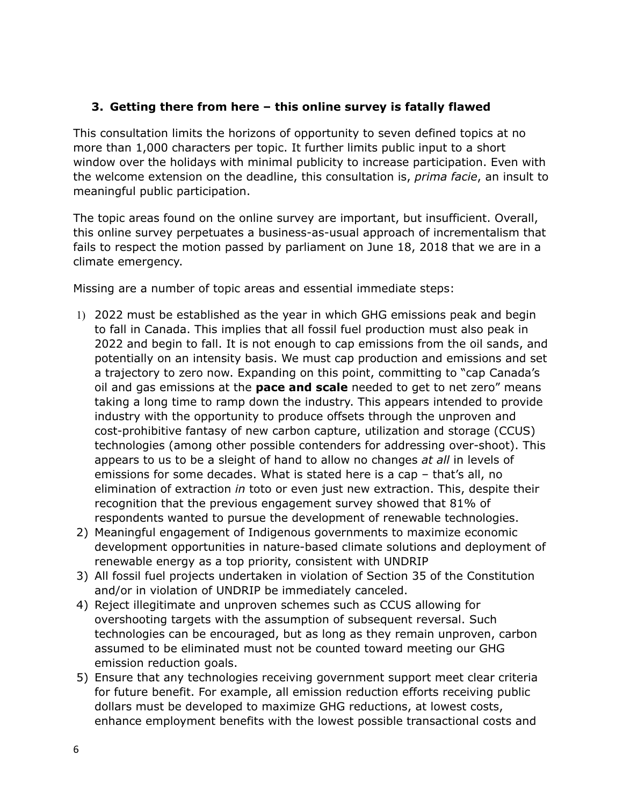### **3. Getting there from here – this online survey is fatally flawed**

This consultation limits the horizons of opportunity to seven defined topics at no more than 1,000 characters per topic. It further limits public input to a short window over the holidays with minimal publicity to increase participation. Even with the welcome extension on the deadline, this consultation is, *prima facie*, an insult to meaningful public participation.

The topic areas found on the online survey are important, but insufficient. Overall, this online survey perpetuates a business-as-usual approach of incrementalism that fails to respect the motion passed by parliament on June 18, 2018 that we are in a climate emergency.

Missing are a number of topic areas and essential immediate steps:

- 1) 2022 must be established as the year in which GHG emissions peak and begin to fall in Canada. This implies that all fossil fuel production must also peak in 2022 and begin to fall. It is not enough to cap emissions from the oil sands, and potentially on an intensity basis. We must cap production and emissions and set a trajectory to zero now. Expanding on this point, committing to "cap Canada's oil and gas emissions at the **pace and scale** needed to get to net zero" means taking a long time to ramp down the industry. This appears intended to provide industry with the opportunity to produce offsets through the unproven and cost-prohibitive fantasy of new carbon capture, utilization and storage (CCUS) technologies (among other possible contenders for addressing over-shoot). This appears to us to be a sleight of hand to allow no changes *at all* in levels of emissions for some decades. What is stated here is a cap – that's all, no elimination of extraction *in* toto or even just new extraction. This, despite their recognition that the previous engagement survey showed that 81% of respondents wanted to pursue the development of renewable technologies.
- 2) Meaningful engagement of Indigenous governments to maximize economic development opportunities in nature-based climate solutions and deployment of renewable energy as a top priority, consistent with UNDRIP
- 3) All fossil fuel projects undertaken in violation of Section 35 of the Constitution and/or in violation of UNDRIP be immediately canceled.
- 4) Reject illegitimate and unproven schemes such as CCUS allowing for overshooting targets with the assumption of subsequent reversal. Such technologies can be encouraged, but as long as they remain unproven, carbon assumed to be eliminated must not be counted toward meeting our GHG emission reduction goals.
- 5) Ensure that any technologies receiving government support meet clear criteria for future benefit. For example, all emission reduction efforts receiving public dollars must be developed to maximize GHG reductions, at lowest costs, enhance employment benefits with the lowest possible transactional costs and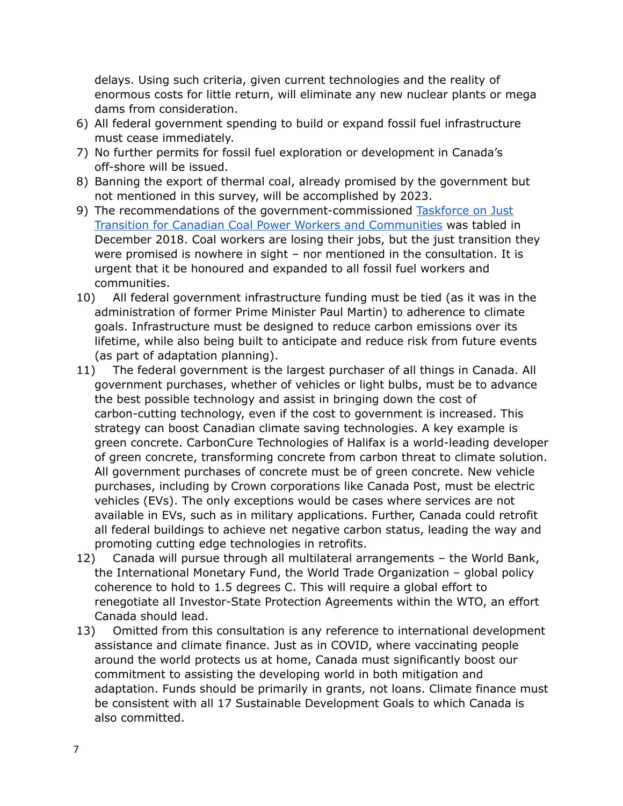delays. Using such criteria, given current technologies and the reality of enormous costs for little return, will eliminate any new nuclear plants or mega dams from consideration.

- 6) All federal government spending to build or expand fossil fuel infrastructure must cease immediately.
- 7) No further permits for fossil fuel exploration or development in Canada's off-shore will be issued.
- 8) Banning the export of thermal coal, already promised by the government but not mentioned in this survey, will be accomplished by 2023.
- 9) The recommendations of the government-commissioned [Taskforce](https://www.canada.ca/en/environment-climate-change/services/climate-change/task-force-just-transition/final-report.html) on Just Transition for Canadian Coal Power Workers and [Communities](https://www.canada.ca/en/environment-climate-change/services/climate-change/task-force-just-transition/final-report.html) was tabled in December 2018. Coal workers are losing their jobs, but the just transition they were promised is nowhere in sight – nor mentioned in the consultation. It is urgent that it be honoured and expanded to all fossil fuel workers and communities.
- 10) All federal government infrastructure funding must be tied (as it was in the administration of former Prime Minister Paul Martin) to adherence to climate goals. Infrastructure must be designed to reduce carbon emissions over its lifetime, while also being built to anticipate and reduce risk from future events (as part of adaptation planning).
- 11) The federal government is the largest purchaser of all things in Canada. All government purchases, whether of vehicles or light bulbs, must be to advance the best possible technology and assist in bringing down the cost of carbon-cutting technology, even if the cost to government is increased. This strategy can boost Canadian climate saving technologies. A key example is green concrete. CarbonCure Technologies of Halifax is a world-leading developer of green concrete, transforming concrete from carbon threat to climate solution. All government purchases of concrete must be of green concrete. New vehicle purchases, including by Crown corporations like Canada Post, must be electric vehicles (EVs). The only exceptions would be cases where services are not available in EVs, such as in military applications. Further, Canada could retrofit all federal buildings to achieve net negative carbon status, leading the way and promoting cutting edge technologies in retrofits.
- 12) Canada will pursue through all multilateral arrangements the World Bank, the International Monetary Fund, the World Trade Organization – global policy coherence to hold to 1.5 degrees C. This will require a global effort to renegotiate all Investor-State Protection Agreements within the WTO, an effort Canada should lead.
- 13) Omitted from this consultation is any reference to international development assistance and climate finance. Just as in COVID, where vaccinating people around the world protects us at home, Canada must significantly boost our commitment to assisting the developing world in both mitigation and adaptation. Funds should be primarily in grants, not loans. Climate finance must be consistent with all 17 Sustainable Development Goals to which Canada is also committed.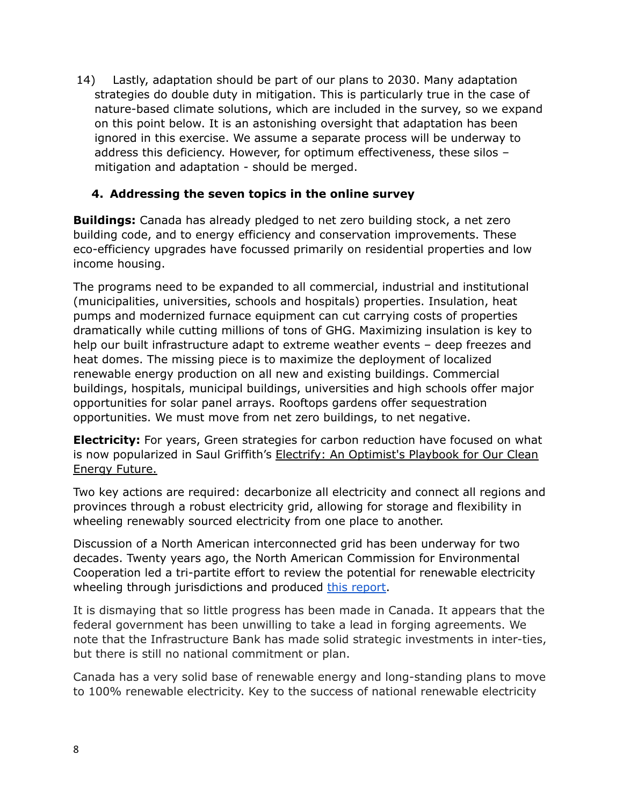14) Lastly, adaptation should be part of our plans to 2030. Many adaptation strategies do double duty in mitigation. This is particularly true in the case of nature-based climate solutions, which are included in the survey, so we expand on this point below. It is an astonishing oversight that adaptation has been ignored in this exercise. We assume a separate process will be underway to address this deficiency. However, for optimum effectiveness, these silos – mitigation and adaptation - should be merged.

### **4. Addressing the seven topics in the online survey**

**Buildings:** Canada has already pledged to net zero building stock, a net zero building code, and to energy efficiency and conservation improvements. These eco-efficiency upgrades have focussed primarily on residential properties and low income housing.

The programs need to be expanded to all commercial, industrial and institutional (municipalities, universities, schools and hospitals) properties. Insulation, heat pumps and modernized furnace equipment can cut carrying costs of properties dramatically while cutting millions of tons of GHG. Maximizing insulation is key to help our built infrastructure adapt to extreme weather events – deep freezes and heat domes. The missing piece is to maximize the deployment of localized renewable energy production on all new and existing buildings. Commercial buildings, hospitals, municipal buildings, universities and high schools offer major opportunities for solar panel arrays. Rooftops gardens offer sequestration opportunities. We must move from net zero buildings, to net negative.

**Electricity:** For years, Green strategies for carbon reduction have focused on what is now popularized in Saul Griffith's Electrify: An Optimist's Playbook for Our Clean Energy Future.

Two key actions are required: decarbonize all electricity and connect all regions and provinces through a robust electricity grid, allowing for storage and flexibility in wheeling renewably sourced electricity from one place to another.

Discussion of a North American interconnected grid has been underway for two decades. Twenty years ago, the North American Commission for Environmental Cooperation led a tri-partite effort to review the potential for renewable electricity wheeling through jurisdictions and produced this [report.](http://www.cec.org/files/documents/publications/959-environmental-challenges-and-opportunities-evolving-north-american-electricity-en.pdf)

It is dismaying that so little progress has been made in Canada. It appears that the federal government has been unwilling to take a lead in forging agreements. We note that the Infrastructure Bank has made solid strategic investments in inter-ties, but there is still no national commitment or plan.

Canada has a very solid base of renewable energy and long-standing plans to move to 100% renewable electricity. Key to the success of national renewable electricity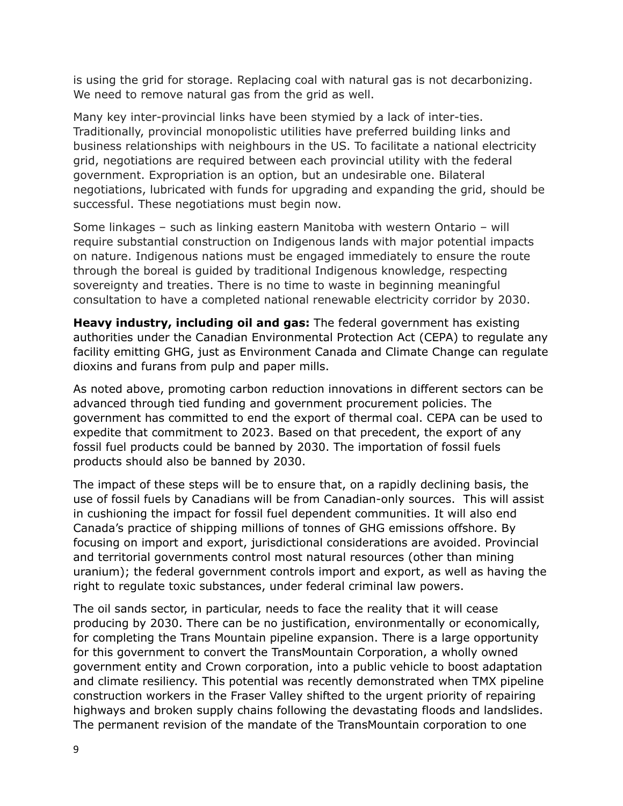is using the grid for storage. Replacing coal with natural gas is not decarbonizing. We need to remove natural gas from the grid as well.

Many key inter-provincial links have been stymied by a lack of inter-ties. Traditionally, provincial monopolistic utilities have preferred building links and business relationships with neighbours in the US. To facilitate a national electricity grid, negotiations are required between each provincial utility with the federal government. Expropriation is an option, but an undesirable one. Bilateral negotiations, lubricated with funds for upgrading and expanding the grid, should be successful. These negotiations must begin now.

Some linkages – such as linking eastern Manitoba with western Ontario – will require substantial construction on Indigenous lands with major potential impacts on nature. Indigenous nations must be engaged immediately to ensure the route through the boreal is guided by traditional Indigenous knowledge, respecting sovereignty and treaties. There is no time to waste in beginning meaningful consultation to have a completed national renewable electricity corridor by 2030.

**Heavy industry, including oil and gas:** The federal government has existing authorities under the Canadian Environmental Protection Act (CEPA) to regulate any facility emitting GHG, just as Environment Canada and Climate Change can regulate dioxins and furans from pulp and paper mills.

As noted above, promoting carbon reduction innovations in different sectors can be advanced through tied funding and government procurement policies. The government has committed to end the export of thermal coal. CEPA can be used to expedite that commitment to 2023. Based on that precedent, the export of any fossil fuel products could be banned by 2030. The importation of fossil fuels products should also be banned by 2030.

The impact of these steps will be to ensure that, on a rapidly declining basis, the use of fossil fuels by Canadians will be from Canadian-only sources. This will assist in cushioning the impact for fossil fuel dependent communities. It will also end Canada's practice of shipping millions of tonnes of GHG emissions offshore. By focusing on import and export, jurisdictional considerations are avoided. Provincial and territorial governments control most natural resources (other than mining uranium); the federal government controls import and export, as well as having the right to regulate toxic substances, under federal criminal law powers.

The oil sands sector, in particular, needs to face the reality that it will cease producing by 2030. There can be no justification, environmentally or economically, for completing the Trans Mountain pipeline expansion. There is a large opportunity for this government to convert the TransMountain Corporation, a wholly owned government entity and Crown corporation, into a public vehicle to boost adaptation and climate resiliency. This potential was recently demonstrated when TMX pipeline construction workers in the Fraser Valley shifted to the urgent priority of repairing highways and broken supply chains following the devastating floods and landslides. The permanent revision of the mandate of the TransMountain corporation to one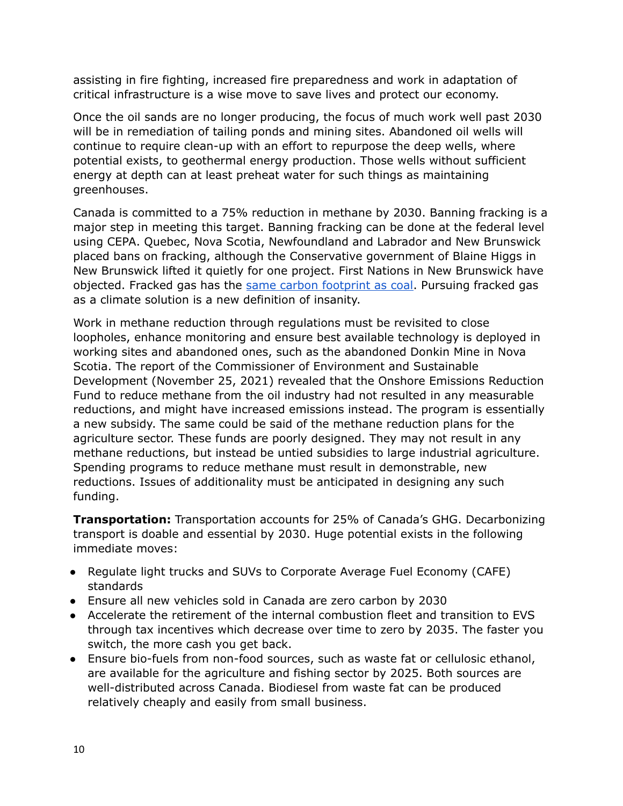assisting in fire fighting, increased fire preparedness and work in adaptation of critical infrastructure is a wise move to save lives and protect our economy.

Once the oil sands are no longer producing, the focus of much work well past 2030 will be in remediation of tailing ponds and mining sites. Abandoned oil wells will continue to require clean-up with an effort to repurpose the deep wells, where potential exists, to geothermal energy production. Those wells without sufficient energy at depth can at least preheat water for such things as maintaining greenhouses.

Canada is committed to a 75% reduction in methane by 2030. Banning fracking is a major step in meeting this target. Banning fracking can be done at the federal level using CEPA. Quebec, Nova Scotia, Newfoundland and Labrador and New Brunswick placed bans on fracking, although the Conservative government of Blaine Higgs in New Brunswick lifted it quietly for one project. First Nations in New Brunswick have objected. Fracked gas has the same carbon [footprint](https://www.policyalternatives.ca/bc-carbon-conundrum) as coal. Pursuing fracked gas as a climate solution is a new definition of insanity.

Work in methane reduction through regulations must be revisited to close loopholes, enhance monitoring and ensure best available technology is deployed in working sites and abandoned ones, such as the abandoned Donkin Mine in Nova Scotia. The report of the Commissioner of Environment and Sustainable Development (November 25, 2021) revealed that the Onshore Emissions Reduction Fund to reduce methane from the oil industry had not resulted in any measurable reductions, and might have increased emissions instead. The program is essentially a new subsidy. The same could be said of the methane reduction plans for the agriculture sector. These funds are poorly designed. They may not result in any methane reductions, but instead be untied subsidies to large industrial agriculture. Spending programs to reduce methane must result in demonstrable, new reductions. Issues of additionality must be anticipated in designing any such funding.

**Transportation:** Transportation accounts for 25% of Canada's GHG. Decarbonizing transport is doable and essential by 2030. Huge potential exists in the following immediate moves:

- Regulate light trucks and SUVs to Corporate Average Fuel Economy (CAFE) standards
- Ensure all new vehicles sold in Canada are zero carbon by 2030
- Accelerate the retirement of the internal combustion fleet and transition to EVS through tax incentives which decrease over time to zero by 2035. The faster you switch, the more cash you get back.
- Ensure bio-fuels from non-food sources, such as waste fat or cellulosic ethanol, are available for the agriculture and fishing sector by 2025. Both sources are well-distributed across Canada. Biodiesel from waste fat can be produced relatively cheaply and easily from small business.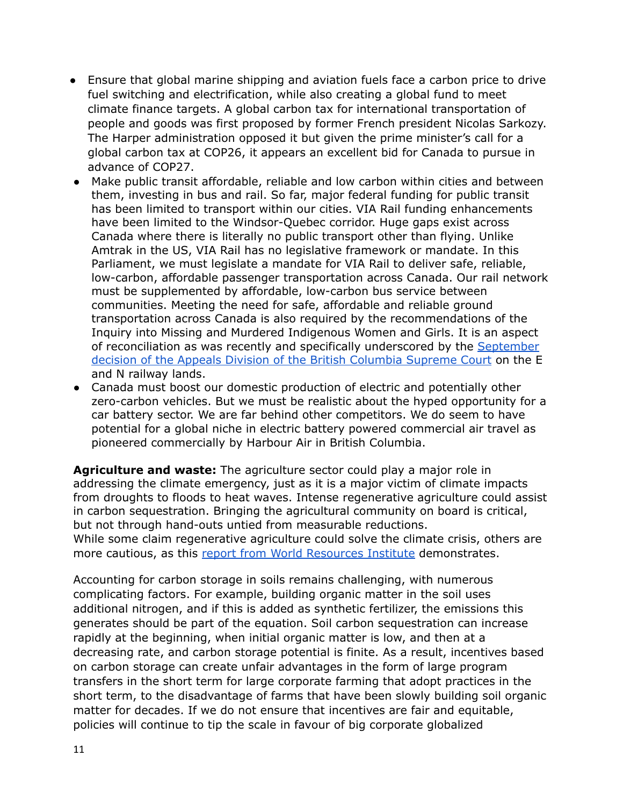- Ensure that global marine shipping and aviation fuels face a carbon price to drive fuel switching and electrification, while also creating a global fund to meet climate finance targets. A global carbon tax for international transportation of people and goods was first proposed by former French president Nicolas Sarkozy. The Harper administration opposed it but given the prime minister's call for a global carbon tax at COP26, it appears an excellent bid for Canada to pursue in advance of COP27.
- Make public transit affordable, reliable and low carbon within cities and between them, investing in bus and rail. So far, major federal funding for public transit has been limited to transport within our cities. VIA Rail funding enhancements have been limited to the Windsor-Quebec corridor. Huge gaps exist across Canada where there is literally no public transport other than flying. Unlike Amtrak in the US, VIA Rail has no legislative framework or mandate. In this Parliament, we must legislate a mandate for VIA Rail to deliver safe, reliable, low-carbon, affordable passenger transportation across Canada. Our rail network must be supplemented by affordable, low-carbon bus service between communities. Meeting the need for safe, affordable and reliable ground transportation across Canada is also required by the recommendations of the Inquiry into Missing and Murdered Indigenous Women and Girls. It is an aspect of reconciliation as was recently and specifically underscored by the [September](https://www.bccourts.ca/jdb-txt/ca/21/03/2021BCCA0333.htma) decision of the Appeals Division of the British [Columbia](https://www.bccourts.ca/jdb-txt/ca/21/03/2021BCCA0333.htma) Supreme Court on the E and N railway lands.
- Canada must boost our domestic production of electric and potentially other zero-carbon vehicles. But we must be realistic about the hyped opportunity for a car battery sector. We are far behind other competitors. We do seem to have potential for a global niche in electric battery powered commercial air travel as pioneered commercially by Harbour Air in British Columbia.

**Agriculture and waste:** The agriculture sector could play a major role in addressing the climate emergency, just as it is a major victim of climate impacts from droughts to floods to heat waves. Intense regenerative agriculture could assist in carbon sequestration. Bringing the agricultural community on board is critical, but not through hand-outs untied from measurable reductions. While some claim regenerative agriculture could solve the climate crisis, others are more cautious, as this report from World [Resources](https://www.wri.org/insights/regenerative-agriculture-good-soil-health-limited-potential-mitigate-climate-change) Institute demonstrates.

Accounting for carbon storage in soils remains challenging, with numerous complicating factors. For example, building organic matter in the soil uses additional nitrogen, and if this is added as synthetic fertilizer, the emissions this generates should be part of the equation. Soil carbon sequestration can increase rapidly at the beginning, when initial organic matter is low, and then at a decreasing rate, and carbon storage potential is finite. As a result, incentives based on carbon storage can create unfair advantages in the form of large program transfers in the short term for large corporate farming that adopt practices in the short term, to the disadvantage of farms that have been slowly building soil organic matter for decades. If we do not ensure that incentives are fair and equitable, policies will continue to tip the scale in favour of big corporate globalized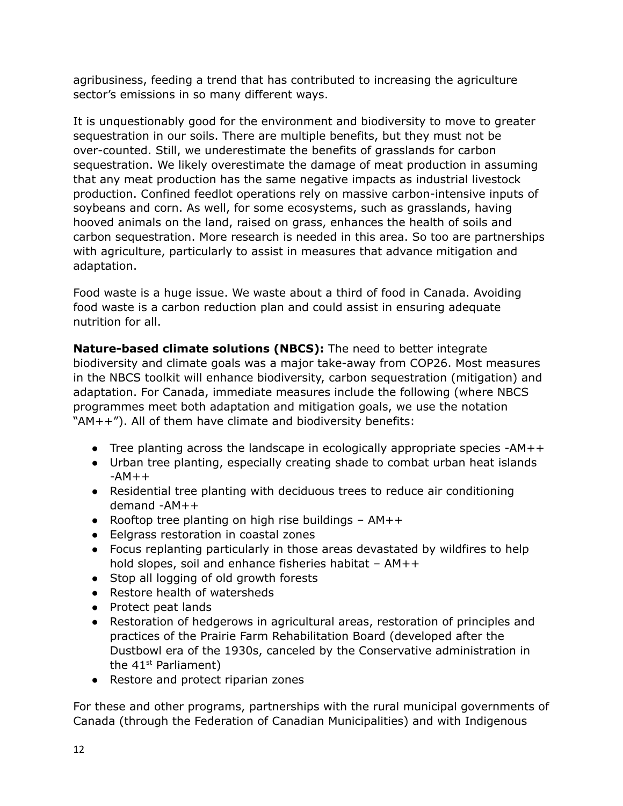agribusiness, feeding a trend that has contributed to increasing the agriculture sector's emissions in so many different ways.

It is unquestionably good for the environment and biodiversity to move to greater sequestration in our soils. There are multiple benefits, but they must not be over-counted. Still, we underestimate the benefits of grasslands for carbon sequestration. We likely overestimate the damage of meat production in assuming that any meat production has the same negative impacts as industrial livestock production. Confined feedlot operations rely on massive carbon-intensive inputs of soybeans and corn. As well, for some ecosystems, such as grasslands, having hooved animals on the land, raised on grass, enhances the health of soils and carbon sequestration. More research is needed in this area. So too are partnerships with agriculture, particularly to assist in measures that advance mitigation and adaptation.

Food waste is a huge issue. We waste about a third of food in Canada. Avoiding food waste is a carbon reduction plan and could assist in ensuring adequate nutrition for all.

**Nature-based climate solutions (NBCS):** The need to better integrate biodiversity and climate goals was a major take-away from COP26. Most measures in the NBCS toolkit will enhance biodiversity, carbon sequestration (mitigation) and adaptation. For Canada, immediate measures include the following (where NBCS programmes meet both adaptation and mitigation goals, we use the notation "AM++"). All of them have climate and biodiversity benefits:

- Tree planting across the landscape in ecologically appropriate species -AM++
- Urban tree planting, especially creating shade to combat urban heat islands  $-AM++$
- Residential tree planting with deciduous trees to reduce air conditioning demand -AM++
- Rooftop tree planting on high rise buildings  $AM++$
- Eelgrass restoration in coastal zones
- Focus replanting particularly in those areas devastated by wildfires to help hold slopes, soil and enhance fisheries habitat  $- AM++$
- Stop all logging of old growth forests
- Restore health of watersheds
- Protect peat lands
- Restoration of hedgerows in agricultural areas, restoration of principles and practices of the Prairie Farm Rehabilitation Board (developed after the Dustbowl era of the 1930s, canceled by the Conservative administration in the 41<sup>st</sup> Parliament)
- Restore and protect riparian zones

For these and other programs, partnerships with the rural municipal governments of Canada (through the Federation of Canadian Municipalities) and with Indigenous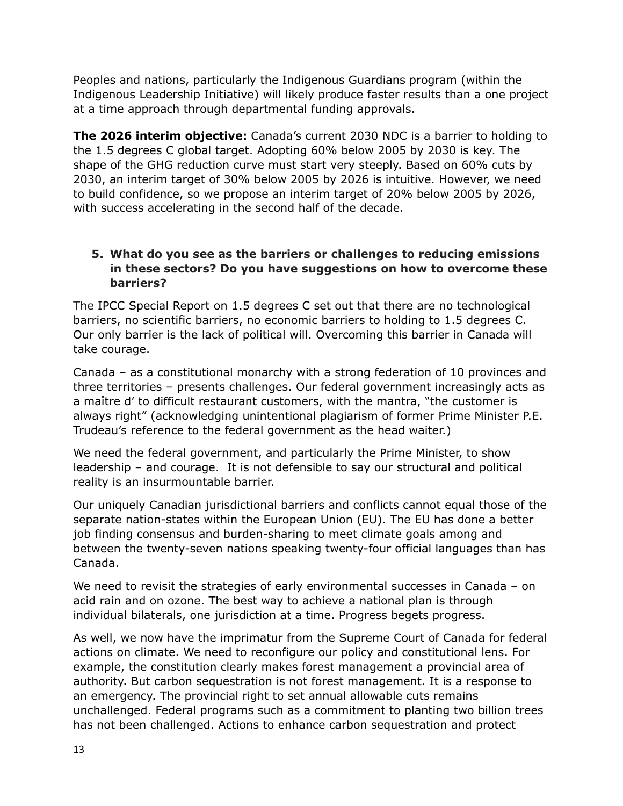Peoples and nations, particularly the Indigenous Guardians program (within the Indigenous Leadership Initiative) will likely produce faster results than a one project at a time approach through departmental funding approvals.

**The 2026 interim objective:** Canada's current 2030 NDC is a barrier to holding to the 1.5 degrees C global target. Adopting 60% below 2005 by 2030 is key. The shape of the GHG reduction curve must start very steeply. Based on 60% cuts by 2030, an interim target of 30% below 2005 by 2026 is intuitive. However, we need to build confidence, so we propose an interim target of 20% below 2005 by 2026, with success accelerating in the second half of the decade.

### **5. What do you see as the barriers or challenges to reducing emissions in these sectors? Do you have suggestions on how to overcome these barriers?**

The IPCC Special Report on 1.5 degrees C set out that there are no technological barriers, no scientific barriers, no economic barriers to holding to 1.5 degrees C. Our only barrier is the lack of political will. Overcoming this barrier in Canada will take courage.

Canada – as a constitutional monarchy with a strong federation of 10 provinces and three territories – presents challenges. Our federal government increasingly acts as a maître d' to difficult restaurant customers, with the mantra, "the customer is always right" (acknowledging unintentional plagiarism of former Prime Minister P.E. Trudeau's reference to the federal government as the head waiter.)

We need the federal government, and particularly the Prime Minister, to show leadership – and courage. It is not defensible to say our structural and political reality is an insurmountable barrier.

Our uniquely Canadian jurisdictional barriers and conflicts cannot equal those of the separate nation-states within the European Union (EU). The EU has done a better job finding consensus and burden-sharing to meet climate goals among and between the twenty-seven nations speaking twenty-four official languages than has Canada.

We need to revisit the strategies of early environmental successes in Canada – on acid rain and on ozone. The best way to achieve a national plan is through individual bilaterals, one jurisdiction at a time. Progress begets progress.

As well, we now have the imprimatur from the Supreme Court of Canada for federal actions on climate. We need to reconfigure our policy and constitutional lens. For example, the constitution clearly makes forest management a provincial area of authority. But carbon sequestration is not forest management. It is a response to an emergency. The provincial right to set annual allowable cuts remains unchallenged. Federal programs such as a commitment to planting two billion trees has not been challenged. Actions to enhance carbon sequestration and protect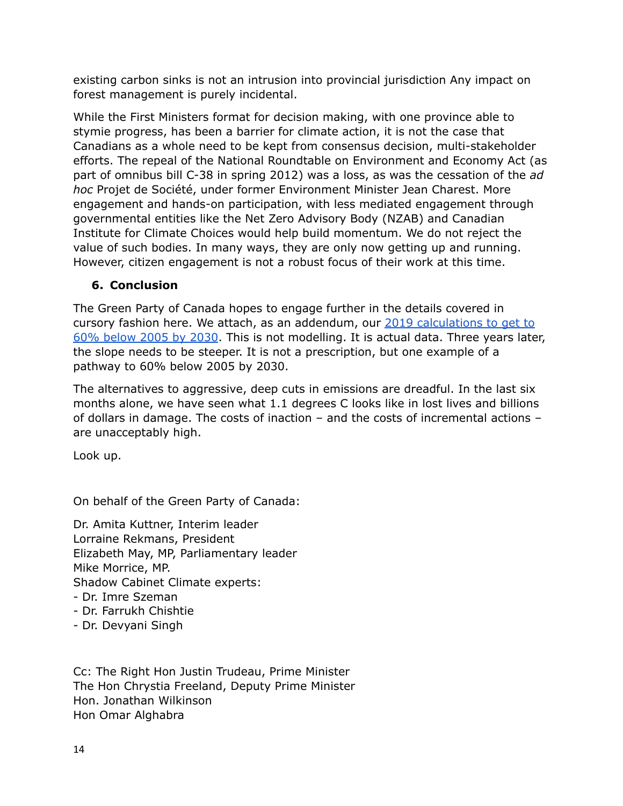existing carbon sinks is not an intrusion into provincial jurisdiction Any impact on forest management is purely incidental.

While the First Ministers format for decision making, with one province able to stymie progress, has been a barrier for climate action, it is not the case that Canadians as a whole need to be kept from consensus decision, multi-stakeholder efforts. The repeal of the National Roundtable on Environment and Economy Act (as part of omnibus bill C-38 in spring 2012) was a loss, as was the cessation of the *ad hoc* Projet de Société, under former Environment Minister Jean Charest. More engagement and hands-on participation, with less mediated engagement through governmental entities like the Net Zero Advisory Body (NZAB) and Canadian Institute for Climate Choices would help build momentum. We do not reject the value of such bodies. In many ways, they are only now getting up and running. However, citizen engagement is not a robust focus of their work at this time.

### **6. Conclusion**

The Green Party of Canada hopes to engage further in the details covered in cursory fashion here. We attach, as an addendum, our 2019 [calculations](https://www.greenparty.ca/sites/default/files/2019.10.11_mission_possible_research_analysis_en.pdf) to get to 60% [below](https://www.greenparty.ca/sites/default/files/2019.10.11_mission_possible_research_analysis_en.pdf) 2005 by 2030. This is not modelling. It is actual data. Three years later, the slope needs to be steeper. It is not a prescription, but one example of a pathway to 60% below 2005 by 2030.

The alternatives to aggressive, deep cuts in emissions are dreadful. In the last six months alone, we have seen what 1.1 degrees C looks like in lost lives and billions of dollars in damage. The costs of inaction – and the costs of incremental actions – are unacceptably high.

Look up.

On behalf of the Green Party of Canada:

Dr. Amita Kuttner, Interim leader Lorraine Rekmans, President Elizabeth May, MP, Parliamentary leader Mike Morrice, MP. Shadow Cabinet Climate experts: - Dr. Imre Szeman

- Dr. Farrukh Chishtie
- Dr. Devyani Singh

Cc: The Right Hon Justin Trudeau, Prime Minister The Hon Chrystia Freeland, Deputy Prime Minister Hon. Jonathan Wilkinson Hon Omar Alghabra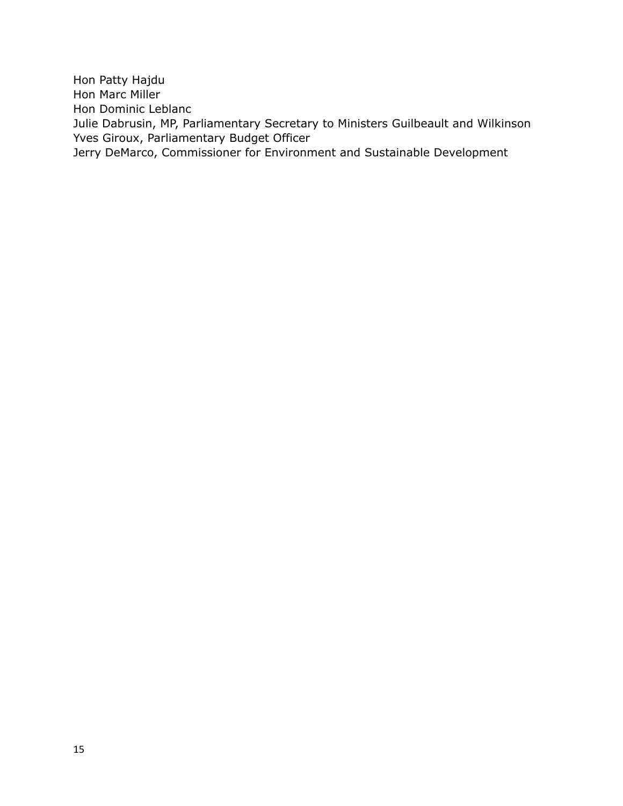Hon Patty Hajdu Hon Marc Miller Hon Dominic Leblanc Julie Dabrusin, MP, Parliamentary Secretary to Ministers Guilbeault and Wilkinson Yves Giroux, Parliamentary Budget Officer Jerry DeMarco, Commissioner for Environment and Sustainable Development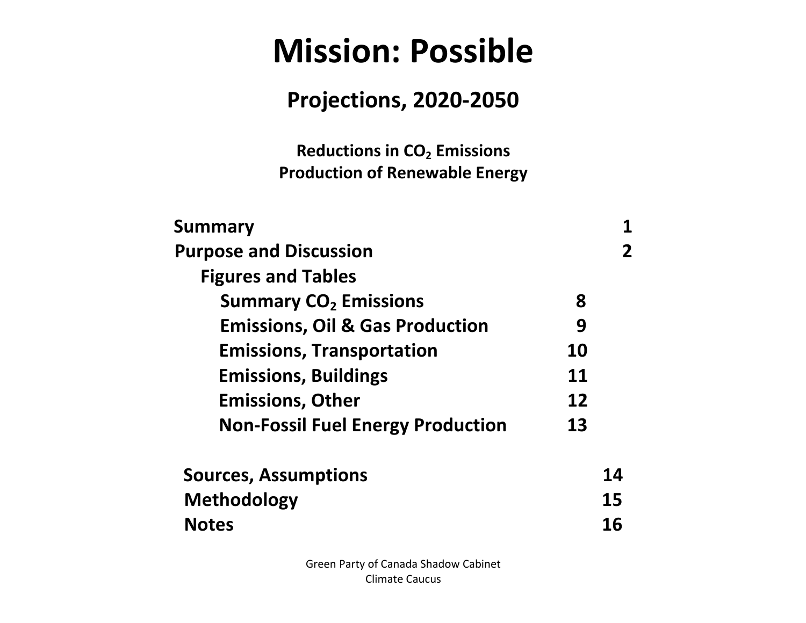# **Mission: Possible**

# **Projections, 2020-2050**

**Reductions in CO2 Emissions Production of Renewable Energy** 

| Summary                                    |           |    |
|--------------------------------------------|-----------|----|
| <b>Purpose and Discussion</b>              |           |    |
| <b>Figures and Tables</b>                  |           |    |
| <b>Summary CO<sub>2</sub> Emissions</b>    | 8         |    |
| <b>Emissions, Oil &amp; Gas Production</b> | 9         |    |
| <b>Emissions, Transportation</b>           | <b>10</b> |    |
| <b>Emissions, Buildings</b>                | <b>11</b> |    |
| <b>Emissions, Other</b>                    | 12        |    |
| <b>Non-Fossil Fuel Energy Production</b>   | 13        |    |
| <b>Sources, Assumptions</b>                |           | 14 |
| <b>Methodology</b>                         |           | 15 |
| <b>Notes</b>                               |           | 16 |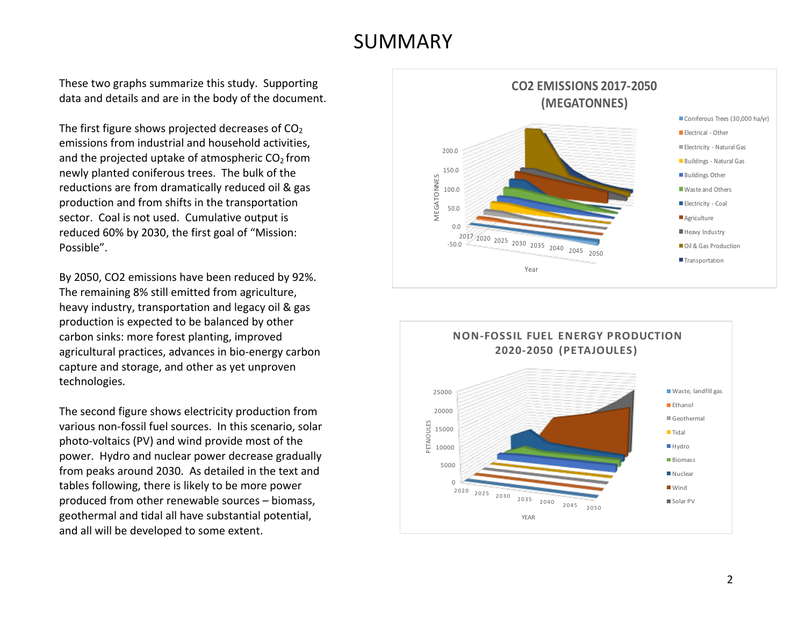### SUMMARY

These two graphs summarize this study. Supporting data and details and are in the body of the document.

The first figure shows projected decreases of  $CO<sub>2</sub>$ emissions from industrial and household activities, and the projected uptake of atmospheric  $CO<sub>2</sub>$  from newly planted coniferous trees. The bulk of the reductions are from dramatically reduced oil & gas production and from shifts in the transportation sector. Coal is not used. Cumulative output is reduced 60% by 2030, the first goal of "Mission: Possible". 

By 2050, CO2 emissions have been reduced by 92%. The remaining 8% still emitted from agriculture, heavy industry, transportation and legacy oil & gas production is expected to be balanced by other carbon sinks: more forest planting, improved agricultural practices, advances in bio-energy carbon capture and storage, and other as yet unproven technologies.

The second figure shows electricity production from various non-fossil fuel sources. In this scenario, solar photo-voltaics (PV) and wind provide most of the power. Hydro and nuclear power decrease gradually from peaks around 2030. As detailed in the text and tables following, there is likely to be more power produced from other renewable sources - biomass, geothermal and tidal all have substantial potential, and all will be developed to some extent.



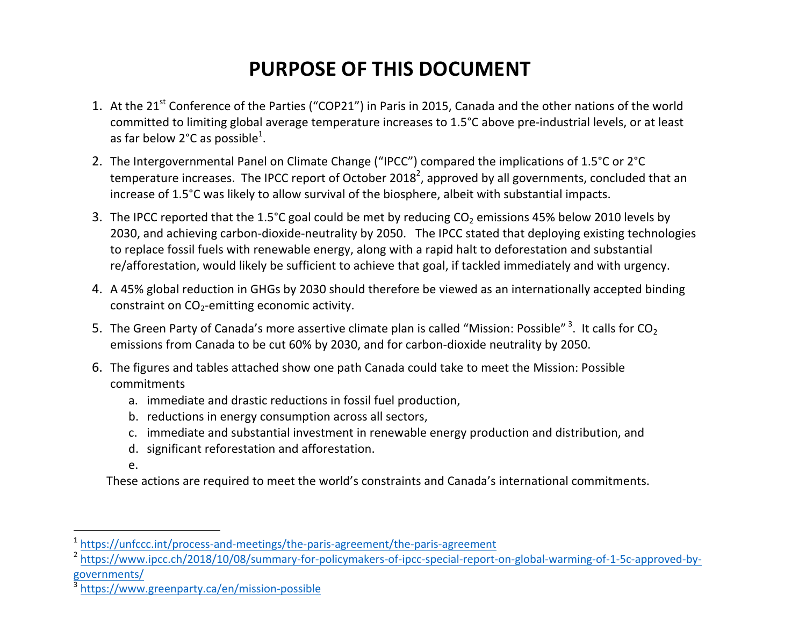## **PURPOSE OF THIS DOCUMENT**

- 1. At the 21<sup>st</sup> Conference of the Parties ("COP21") in Paris in 2015, Canada and the other nations of the world committed to limiting global average temperature increases to 1.5°C above pre-industrial levels, or at least as far below 2°C as possible<sup>1</sup>.
- 2. The Intergovernmental Panel on Climate Change ("IPCC") compared the implications of 1.5°C or 2°C temperature increases. The IPCC report of October 2018<sup>2</sup>, approved by all governments, concluded that an increase of 1.5°C was likely to allow survival of the biosphere, albeit with substantial impacts.
- 3. The IPCC reported that the 1.5°C goal could be met by reducing  $CO<sub>2</sub>$  emissions 45% below 2010 levels by 2030, and achieving carbon-dioxide-neutrality by 2050. The IPCC stated that deploying existing technologies to replace fossil fuels with renewable energy, along with a rapid halt to deforestation and substantial re/afforestation, would likely be sufficient to achieve that goal, if tackled immediately and with urgency.
- 4. A 45% global reduction in GHGs by 2030 should therefore be viewed as an internationally accepted binding constraint on  $CO_2$ -emitting economic activity.
- 5. The Green Party of Canada's more assertive climate plan is called "Mission: Possible" <sup>3</sup>. It calls for CO<sub>2</sub> emissions from Canada to be cut 60% by 2030, and for carbon-dioxide neutrality by 2050.
- 6. The figures and tables attached show one path Canada could take to meet the Mission: Possible commitments
	- a. immediate and drastic reductions in fossil fuel production,
	- b. reductions in energy consumption across all sectors,
	- c. immediate and substantial investment in renewable energy production and distribution, and
	- d. significant reforestation and afforestation.
	- e.

 

These actions are required to meet the world's constraints and Canada's international commitments.

<sup>1</sup> https://unfccc.int/process-and-meetings/the-paris-agreement/the-paris-agreement

<sup>2</sup> https://www.ipcc.ch/2018/10/08/summary-for-policymakers-of-ipcc-special-report-on-global-warming-of-1-5c-approved-bygovernments/

<sup>3</sup> https://www.greenparty.ca/en/mission-possible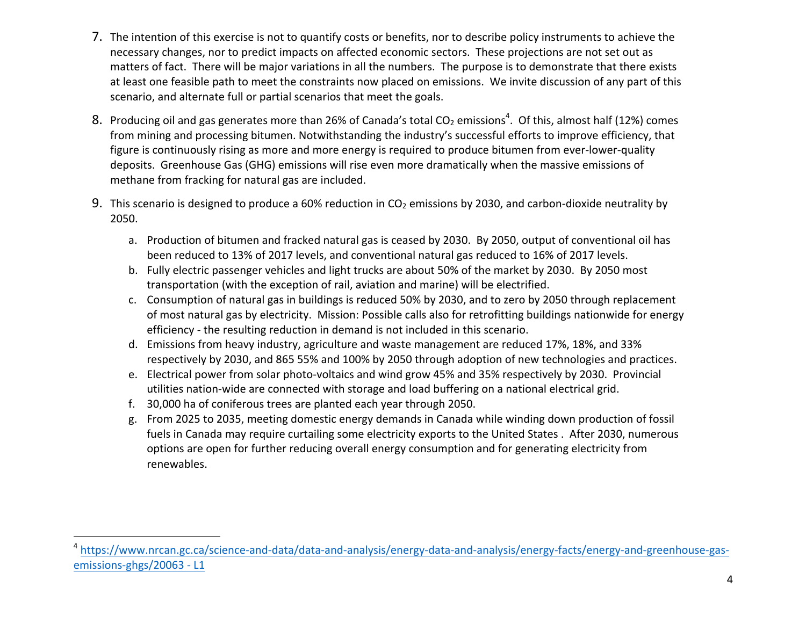- 7. The intention of this exercise is not to quantify costs or benefits, nor to describe policy instruments to achieve the necessary changes, nor to predict impacts on affected economic sectors. These projections are not set out as matters of fact. There will be major variations in all the numbers. The purpose is to demonstrate that there exists at least one feasible path to meet the constraints now placed on emissions. We invite discussion of any part of this scenario, and alternate full or partial scenarios that meet the goals.
- 8. Producing oil and gas generates more than 26% of Canada's total CO<sub>2</sub> emissions<sup>4</sup>. Of this, almost half (12%) comes from mining and processing bitumen. Notwithstanding the industry's successful efforts to improve efficiency, that figure is continuously rising as more and more energy is required to produce bitumen from ever-lower-quality deposits. Greenhouse Gas (GHG) emissions will rise even more dramatically when the massive emissions of methane from fracking for natural gas are included.
- 9. This scenario is designed to produce a 60% reduction in  $CO<sub>2</sub>$  emissions by 2030, and carbon-dioxide neutrality by 2050.
	- a. Production of bitumen and fracked natural gas is ceased by 2030. By 2050, output of conventional oil has been reduced to 13% of 2017 levels, and conventional natural gas reduced to 16% of 2017 levels.
	- b. Fully electric passenger vehicles and light trucks are about 50% of the market by 2030. By 2050 most transportation (with the exception of rail, aviation and marine) will be electrified.
	- c. Consumption of natural gas in buildings is reduced 50% by 2030, and to zero by 2050 through replacement of most natural gas by electricity. Mission: Possible calls also for retrofitting buildings nationwide for energy efficiency - the resulting reduction in demand is not included in this scenario.
	- d. Emissions from heavy industry, agriculture and waste management are reduced 17%, 18%, and 33% respectively by 2030, and 865 55% and 100% by 2050 through adoption of new technologies and practices.
	- e. Electrical power from solar photo-voltaics and wind grow 45% and 35% respectively by 2030. Provincial utilities nation-wide are connected with storage and load buffering on a national electrical grid.
	- f. 30,000 ha of coniferous trees are planted each year through 2050.

g. From 2025 to 2035, meeting domestic energy demands in Canada while winding down production of fossil fuels in Canada may require curtailing some electricity exports to the United States . After 2030, numerous options are open for further reducing overall energy consumption and for generating electricity from renewables.

<sup>4</sup> https://www.nrcan.gc.ca/science-and-data/data-and-analysis/energy-data-and-analysis/energy-facts/energy-and-greenhouse-gasemissions-ghgs/20063 - L1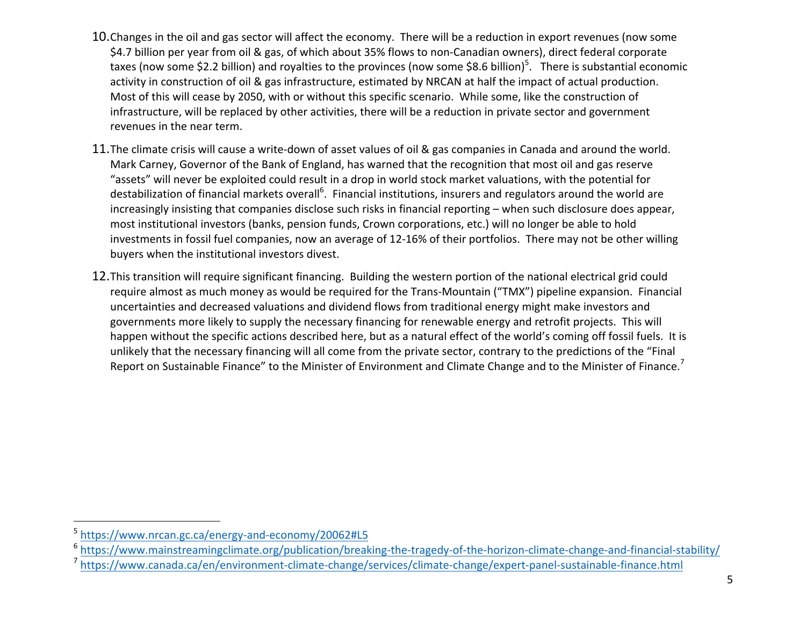- 10. Changes in the oil and gas sector will affect the economy. There will be a reduction in export revenues (now some \$4.7 billion per year from oil & gas, of which about 35% flows to non-Canadian owners), direct federal corporate taxes (now some \$2.2 billion) and royalties to the provinces (now some \$8.6 billion)<sup>5</sup>. There is substantial economic activity in construction of oil & gas infrastructure, estimated by NRCAN at half the impact of actual production. Most of this will cease by 2050, with or without this specific scenario. While some, like the construction of infrastructure, will be replaced by other activities, there will be a reduction in private sector and government revenues in the near term.
- 11. The climate crisis will cause a write-down of asset values of oil & gas companies in Canada and around the world. Mark Carney, Governor of the Bank of England, has warned that the recognition that most oil and gas reserve "assets" will never be exploited could result in a drop in world stock market valuations, with the potential for destabilization of financial markets overall<sup>6</sup>. Financial institutions, insurers and regulators around the world are increasingly insisting that companies disclose such risks in financial reporting – when such disclosure does appear, most institutional investors (banks, pension funds, Crown corporations, etc.) will no longer be able to hold investments in fossil fuel companies, now an average of 12-16% of their portfolios. There may not be other willing buyers when the institutional investors divest.
- 12. This transition will require significant financing. Building the western portion of the national electrical grid could require almost as much money as would be required for the Trans-Mountain ("TMX") pipeline expansion. Financial uncertainties and decreased valuations and dividend flows from traditional energy might make investors and governments more likely to supply the necessary financing for renewable energy and retrofit projects. This will happen without the specific actions described here, but as a natural effect of the world's coming off fossil fuels. It is unlikely that the necessary financing will all come from the private sector, contrary to the predictions of the "Final Report on Sustainable Finance" to the Minister of Environment and Climate Change and to the Minister of Finance.<sup>7</sup>

<sup>5</sup> https://www.nrcan.gc.ca/energy-and-economy/20062#L5

<sup>&</sup>lt;sup>6</sup> https://www.mainstreamingclimate.org/publication/breaking-the-tragedy-of-the-horizon-climate-change-and-financial-stability/

<sup>7</sup> https://www.canada.ca/en/environment-climate-change/services/climate-change/expert-panel-sustainable-finance.html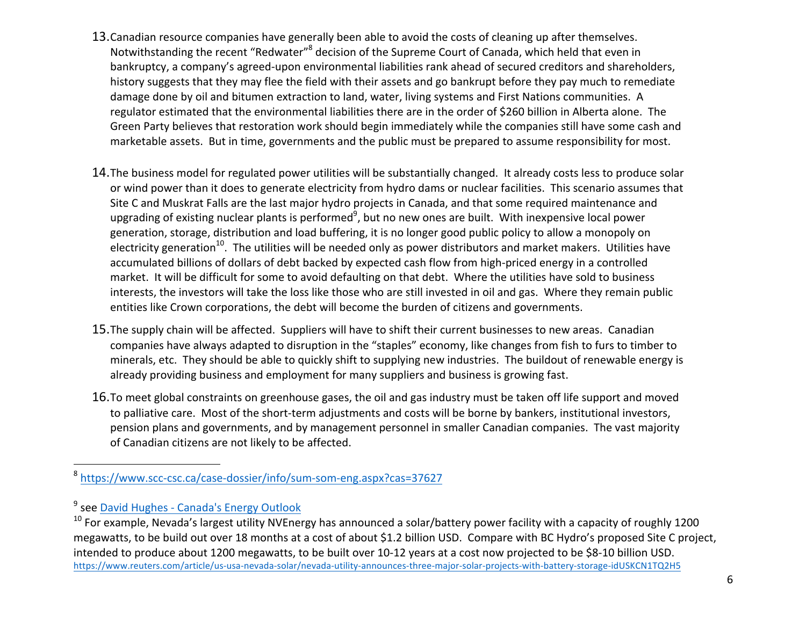- 13. Canadian resource companies have generally been able to avoid the costs of cleaning up after themselves. Notwithstanding the recent "Redwater"<sup>8</sup> decision of the Supreme Court of Canada, which held that even in bankruptcy, a company's agreed-upon environmental liabilities rank ahead of secured creditors and shareholders, history suggests that they may flee the field with their assets and go bankrupt before they pay much to remediate damage done by oil and bitumen extraction to land, water, living systems and First Nations communities. A regulator estimated that the environmental liabilities there are in the order of \$260 billion in Alberta alone. The Green Party believes that restoration work should begin immediately while the companies still have some cash and marketable assets. But in time, governments and the public must be prepared to assume responsibility for most.
- 14. The business model for regulated power utilities will be substantially changed. It already costs less to produce solar or wind power than it does to generate electricity from hydro dams or nuclear facilities. This scenario assumes that Site C and Muskrat Falls are the last major hydro projects in Canada, and that some required maintenance and upgrading of existing nuclear plants is performed<sup>9</sup>, but no new ones are built. With inexpensive local power generation, storage, distribution and load buffering, it is no longer good public policy to allow a monopoly on electricity generation<sup>10</sup>. The utilities will be needed only as power distributors and market makers. Utilities have accumulated billions of dollars of debt backed by expected cash flow from high-priced energy in a controlled market. It will be difficult for some to avoid defaulting on that debt. Where the utilities have sold to business interests, the investors will take the loss like those who are still invested in oil and gas. Where they remain public entities like Crown corporations, the debt will become the burden of citizens and governments.
- 15. The supply chain will be affected. Suppliers will have to shift their current businesses to new areas. Canadian companies have always adapted to disruption in the "staples" economy, like changes from fish to furs to timber to minerals, etc. They should be able to quickly shift to supplying new industries. The buildout of renewable energy is already providing business and employment for many suppliers and business is growing fast.
- 16. To meet global constraints on greenhouse gases, the oil and gas industry must be taken off life support and moved to palliative care. Most of the short-term adjustments and costs will be borne by bankers, institutional investors, pension plans and governments, and by management personnel in smaller Canadian companies. The vast majority of Canadian citizens are not likely to be affected.

<sup>8</sup> https://www.scc-csc.ca/case-dossier/info/sum-som-eng.aspx?cas=37627

<sup>&</sup>lt;sup>9</sup> see David Hughes - Canada's Energy Outlook

 $10$  For example, Nevada's largest utility NVEnergy has announced a solar/battery power facility with a capacity of roughly 1200 megawatts, to be build out over 18 months at a cost of about \$1.2 billion USD. Compare with BC Hydro's proposed Site C project, intended to produce about 1200 megawatts, to be built over 10-12 years at a cost now projected to be \$8-10 billion USD. https://www.reuters.com/article/us-usa-nevada-solar/nevada-utility-announces-three-major-solar-projects-with-battery-storage-idUSKCN1TQ2H5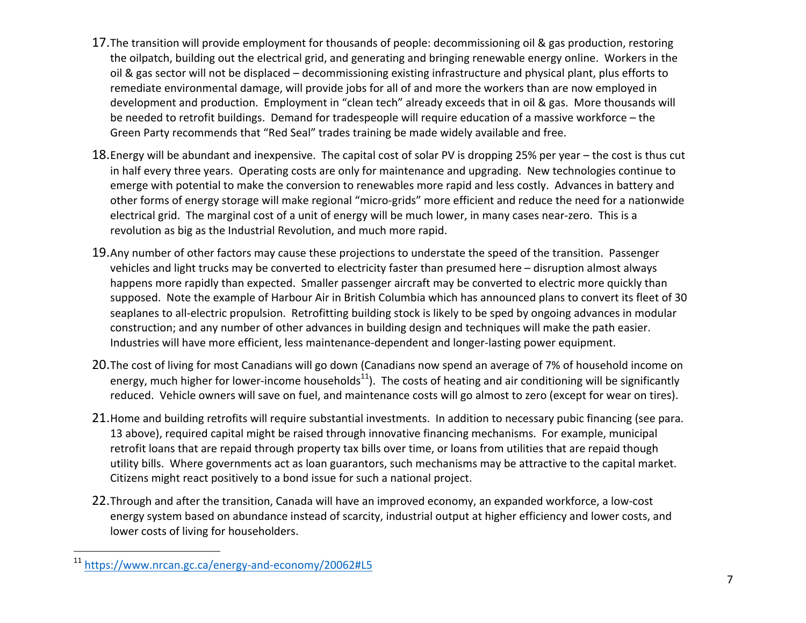- 17. The transition will provide employment for thousands of people: decommissioning oil & gas production, restoring the oilpatch, building out the electrical grid, and generating and bringing renewable energy online. Workers in the oil & gas sector will not be displaced – decommissioning existing infrastructure and physical plant, plus efforts to remediate environmental damage, will provide jobs for all of and more the workers than are now employed in development and production. Employment in "clean tech" already exceeds that in oil & gas. More thousands will be needed to retrofit buildings. Demand for tradespeople will require education of a massive workforce – the Green Party recommends that "Red Seal" trades training be made widely available and free.
- 18. Energy will be abundant and inexpensive. The capital cost of solar PV is dropping 25% per year the cost is thus cut in half every three years. Operating costs are only for maintenance and upgrading. New technologies continue to emerge with potential to make the conversion to renewables more rapid and less costly. Advances in battery and other forms of energy storage will make regional "micro-grids" more efficient and reduce the need for a nationwide electrical grid. The marginal cost of a unit of energy will be much lower, in many cases near-zero. This is a revolution as big as the Industrial Revolution, and much more rapid.
- 19. Any number of other factors may cause these projections to understate the speed of the transition. Passenger vehicles and light trucks may be converted to electricity faster than presumed here – disruption almost always happens more rapidly than expected. Smaller passenger aircraft may be converted to electric more quickly than supposed. Note the example of Harbour Air in British Columbia which has announced plans to convert its fleet of 30 seaplanes to all-electric propulsion. Retrofitting building stock is likely to be sped by ongoing advances in modular construction; and any number of other advances in building design and techniques will make the path easier. Industries will have more efficient, less maintenance-dependent and longer-lasting power equipment.
- 20. The cost of living for most Canadians will go down (Canadians now spend an average of 7% of household income on energy, much higher for lower-income households<sup>11</sup>). The costs of heating and air conditioning will be significantly reduced. Vehicle owners will save on fuel, and maintenance costs will go almost to zero (except for wear on tires).
- 21. Home and building retrofits will require substantial investments. In addition to necessary pubic financing (see para. 13 above), required capital might be raised through innovative financing mechanisms. For example, municipal retrofit loans that are repaid through property tax bills over time, or loans from utilities that are repaid though utility bills. Where governments act as loan guarantors, such mechanisms may be attractive to the capital market. Citizens might react positively to a bond issue for such a national project.
- 22. Through and after the transition, Canada will have an improved economy, an expanded workforce, a low-cost energy system based on abundance instead of scarcity, industrial output at higher efficiency and lower costs, and lower costs of living for householders.

<sup>11</sup> https://www.nrcan.gc.ca/energy-and-economy/20062#L5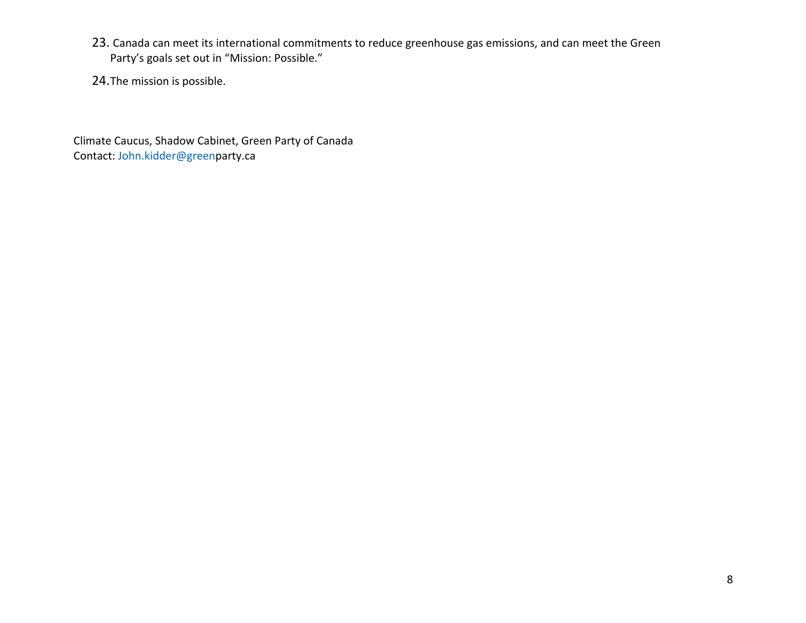- 23. Canada can meet its international commitments to reduce greenhouse gas emissions, and can meet the Green Party's goals set out in "Mission: Possible."
- 24. The mission is possible.

Climate Caucus, Shadow Cabinet, Green Party of Canada Contact: John.kidder@greenparty.ca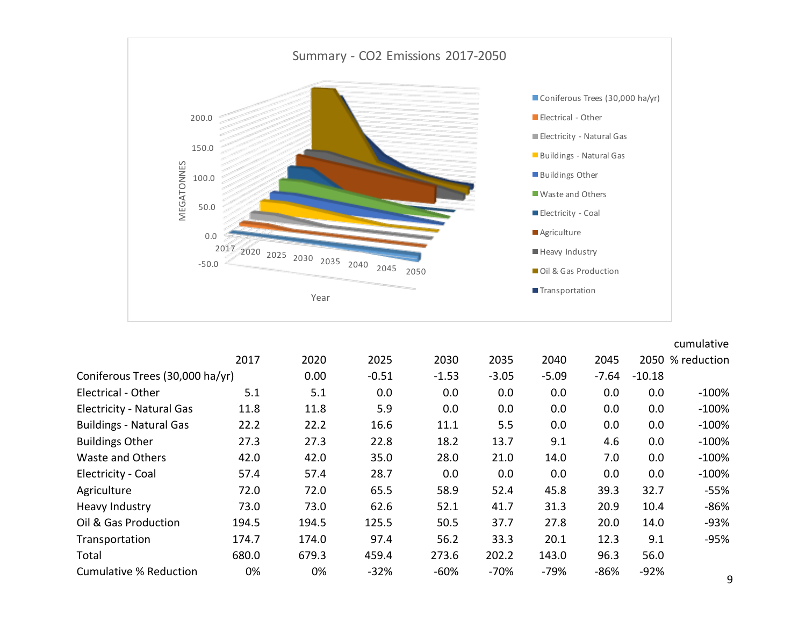

|                                  |       |       |         |         |         |         |         |          | cumulative       |
|----------------------------------|-------|-------|---------|---------|---------|---------|---------|----------|------------------|
|                                  | 2017  | 2020  | 2025    | 2030    | 2035    | 2040    | 2045    |          | 2050 % reduction |
| Coniferous Trees (30,000 ha/yr)  |       | 0.00  | $-0.51$ | $-1.53$ | $-3.05$ | $-5.09$ | $-7.64$ | $-10.18$ |                  |
| Electrical - Other               | 5.1   | 5.1   | 0.0     | 0.0     | 0.0     | 0.0     | 0.0     | 0.0      | $-100%$          |
| <b>Electricity - Natural Gas</b> | 11.8  | 11.8  | 5.9     | 0.0     | 0.0     | 0.0     | 0.0     | 0.0      | $-100%$          |
| <b>Buildings - Natural Gas</b>   | 22.2  | 22.2  | 16.6    | 11.1    | 5.5     | 0.0     | 0.0     | 0.0      | $-100%$          |
| <b>Buildings Other</b>           | 27.3  | 27.3  | 22.8    | 18.2    | 13.7    | 9.1     | 4.6     | 0.0      | $-100%$          |
| Waste and Others                 | 42.0  | 42.0  | 35.0    | 28.0    | 21.0    | 14.0    | 7.0     | 0.0      | $-100%$          |
| Electricity - Coal               | 57.4  | 57.4  | 28.7    | 0.0     | 0.0     | 0.0     | 0.0     | 0.0      | $-100%$          |
| Agriculture                      | 72.0  | 72.0  | 65.5    | 58.9    | 52.4    | 45.8    | 39.3    | 32.7     | $-55%$           |
| Heavy Industry                   | 73.0  | 73.0  | 62.6    | 52.1    | 41.7    | 31.3    | 20.9    | 10.4     | $-86%$           |
| Oil & Gas Production             | 194.5 | 194.5 | 125.5   | 50.5    | 37.7    | 27.8    | 20.0    | 14.0     | $-93%$           |
| Transportation                   | 174.7 | 174.0 | 97.4    | 56.2    | 33.3    | 20.1    | 12.3    | 9.1      | $-95%$           |
| Total                            | 680.0 | 679.3 | 459.4   | 273.6   | 202.2   | 143.0   | 96.3    | 56.0     |                  |
| <b>Cumulative % Reduction</b>    | 0%    | 0%    | $-32%$  | $-60%$  | $-70%$  | $-79%$  | $-86%$  | $-92%$   | $\Omega$         |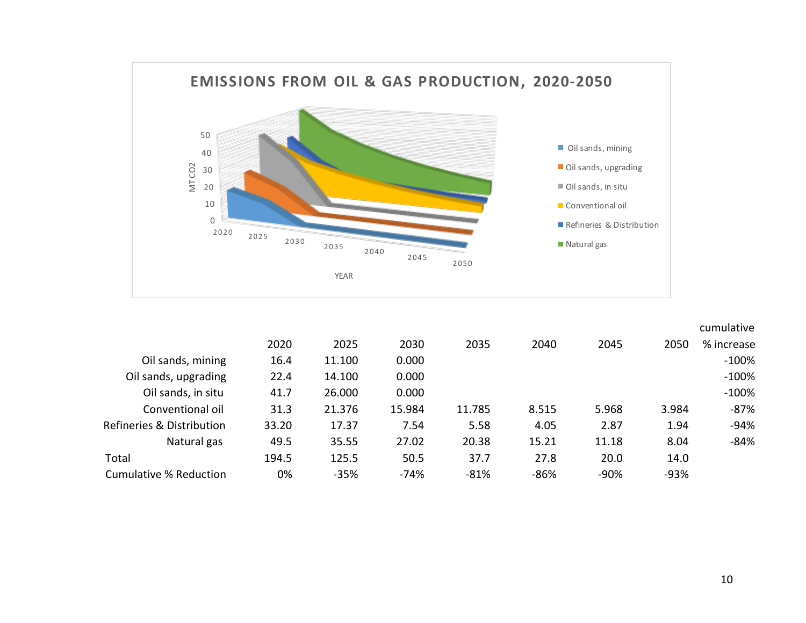

|                                      |       |        |        |        |        |        |        | cumulative |
|--------------------------------------|-------|--------|--------|--------|--------|--------|--------|------------|
|                                      | 2020  | 2025   | 2030   | 2035   | 2040   | 2045   | 2050   | % increase |
| Oil sands, mining                    | 16.4  | 11.100 | 0.000  |        |        |        |        | $-100%$    |
| Oil sands, upgrading                 | 22.4  | 14.100 | 0.000  |        |        |        |        | $-100%$    |
| Oil sands, in situ                   | 41.7  | 26.000 | 0.000  |        |        |        |        | $-100%$    |
| Conventional oil                     | 31.3  | 21.376 | 15.984 | 11.785 | 8.515  | 5.968  | 3.984  | $-87%$     |
| <b>Refineries &amp; Distribution</b> | 33.20 | 17.37  | 7.54   | 5.58   | 4.05   | 2.87   | 1.94   | $-94%$     |
| Natural gas                          | 49.5  | 35.55  | 27.02  | 20.38  | 15.21  | 11.18  | 8.04   | $-84%$     |
| Total                                | 194.5 | 125.5  | 50.5   | 37.7   | 27.8   | 20.0   | 14.0   |            |
| <b>Cumulative % Reduction</b>        | 0%    | $-35%$ | -74%   | $-81%$ | $-86%$ | $-90%$ | $-93%$ |            |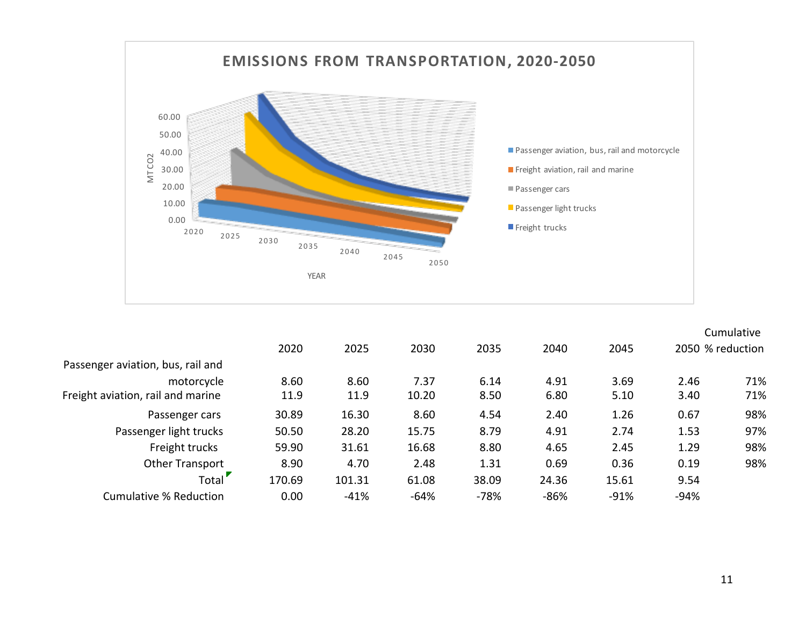

|        |        |        |        |        |        |                  | Cumulative |
|--------|--------|--------|--------|--------|--------|------------------|------------|
| 2020   | 2025   | 2030   | 2035   | 2040   | 2045   | 2050 % reduction |            |
|        |        |        |        |        |        |                  |            |
| 8.60   | 8.60   | 7.37   | 6.14   | 4.91   | 3.69   | 2.46             | 71%        |
| 11.9   | 11.9   | 10.20  | 8.50   | 6.80   | 5.10   | 3.40             | 71%        |
| 30.89  | 16.30  | 8.60   | 4.54   | 2.40   | 1.26   | 0.67             | 98%        |
| 50.50  | 28.20  | 15.75  | 8.79   | 4.91   | 2.74   | 1.53             | 97%        |
| 59.90  | 31.61  | 16.68  | 8.80   | 4.65   | 2.45   | 1.29             | 98%        |
| 8.90   | 4.70   | 2.48   | 1.31   | 0.69   | 0.36   | 0.19             | 98%        |
| 170.69 | 101.31 | 61.08  | 38.09  | 24.36  | 15.61  | 9.54             |            |
| 0.00   | $-41%$ | $-64%$ | $-78%$ | $-86%$ | $-91%$ | $-94%$           |            |
|        |        |        |        |        |        |                  |            |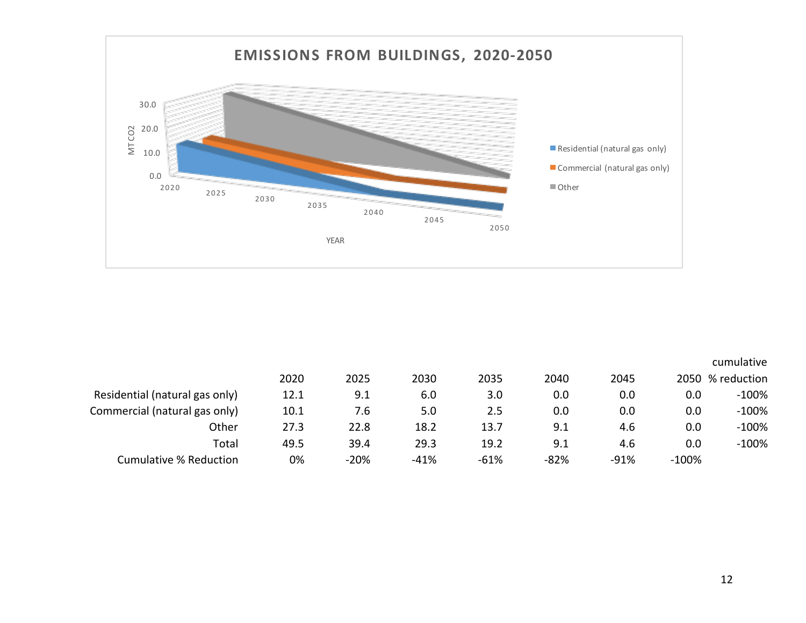

|                                |      |        |        |        |        |        |         | cumulative       |
|--------------------------------|------|--------|--------|--------|--------|--------|---------|------------------|
|                                | 2020 | 2025   | 2030   | 2035   | 2040   | 2045   |         | 2050 % reduction |
| Residential (natural gas only) | 12.1 | 9.1    | 6.0    | 3.0    | 0.0    | 0.0    | 0.0     | $-100%$          |
| Commercial (natural gas only)  | 10.1 | 7.6    | 5.0    | 2.5    | 0.0    | 0.0    | 0.0     | $-100%$          |
| Other                          | 27.3 | 22.8   | 18.2   | 13.7   | 9.1    | 4.6    | 0.0     | $-100%$          |
| Total                          | 49.5 | 39.4   | 29.3   | 19.2   | 9.1    | 4.6    | 0.0     | $-100%$          |
| Cumulative % Reduction         | 0%   | $-20%$ | $-41%$ | $-61%$ | $-82%$ | $-91%$ | $-100%$ |                  |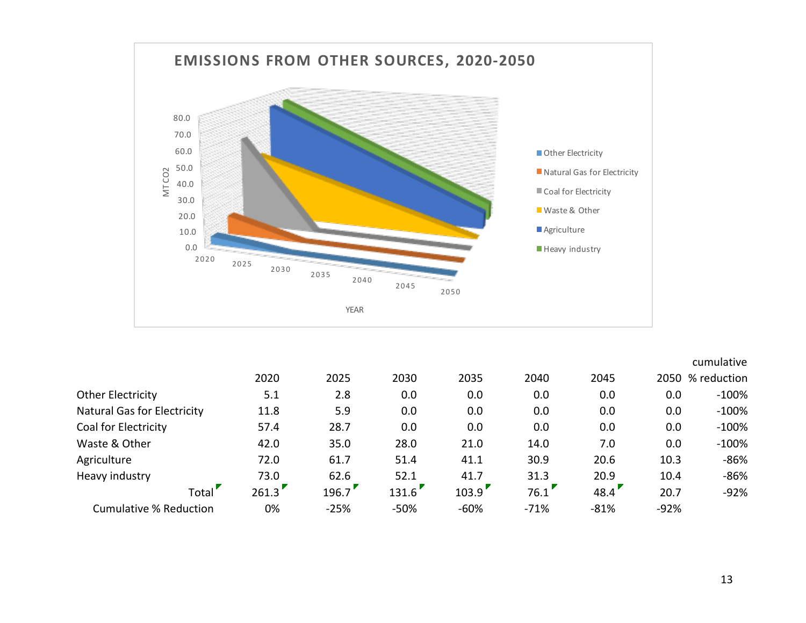

|                                    |       |        |        |        |        |        |        | cumulative     |
|------------------------------------|-------|--------|--------|--------|--------|--------|--------|----------------|
|                                    | 2020  | 2025   | 2030   | 2035   | 2040   | 2045   | 2050   | $\%$ reduction |
| Other Electricity                  | 5.1   | 2.8    | 0.0    | 0.0    | 0.0    | 0.0    | 0.0    | $-100%$        |
| <b>Natural Gas for Electricity</b> | 11.8  | 5.9    | 0.0    | 0.0    | 0.0    | 0.0    | 0.0    | $-100%$        |
| <b>Coal for Electricity</b>        | 57.4  | 28.7   | 0.0    | 0.0    | 0.0    | 0.0    | 0.0    | $-100%$        |
| Waste & Other                      | 42.0  | 35.0   | 28.0   | 21.0   | 14.0   | 7.0    | 0.0    | $-100%$        |
| Agriculture                        | 72.0  | 61.7   | 51.4   | 41.1   | 30.9   | 20.6   | 10.3   | $-86%$         |
| Heavy industry                     | 73.0  | 62.6   | 52.1   | 41.7   | 31.3   | 20.9   | 10.4   | $-86%$         |
| Total <sup>'</sup>                 | 261.3 | 196.7  | 131.6  | 103.9  | 76.1   | 48.4'  | 20.7   | $-92%$         |
| <b>Cumulative % Reduction</b>      | 0%    | $-25%$ | $-50%$ | $-60%$ | $-71%$ | $-81%$ | $-92%$ |                |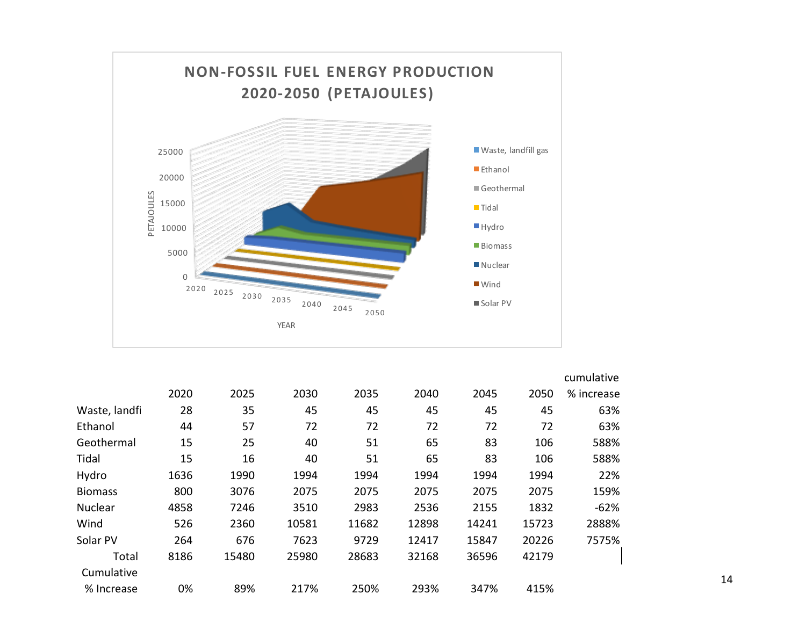

|                |      |       |       |       |       |       |       | cumulative |
|----------------|------|-------|-------|-------|-------|-------|-------|------------|
|                | 2020 | 2025  | 2030  | 2035  | 2040  | 2045  | 2050  | % increase |
| Waste, landfi  | 28   | 35    | 45    | 45    | 45    | 45    | 45    | 63%        |
| Ethanol        | 44   | 57    | 72    | 72    | 72    | 72    | 72    | 63%        |
| Geothermal     | 15   | 25    | 40    | 51    | 65    | 83    | 106   | 588%       |
| Tidal          | 15   | 16    | 40    | 51    | 65    | 83    | 106   | 588%       |
| Hydro          | 1636 | 1990  | 1994  | 1994  | 1994  | 1994  | 1994  | 22%        |
| <b>Biomass</b> | 800  | 3076  | 2075  | 2075  | 2075  | 2075  | 2075  | 159%       |
| Nuclear        | 4858 | 7246  | 3510  | 2983  | 2536  | 2155  | 1832  | $-62%$     |
| Wind           | 526  | 2360  | 10581 | 11682 | 12898 | 14241 | 15723 | 2888%      |
| Solar PV       | 264  | 676   | 7623  | 9729  | 12417 | 15847 | 20226 | 7575%      |
| Total          | 8186 | 15480 | 25980 | 28683 | 32168 | 36596 | 42179 |            |
| Cumulative     |      |       |       |       |       |       |       |            |
| % Increase     | 0%   | 89%   | 217%  | 250%  | 293%  | 347%  | 415%  |            |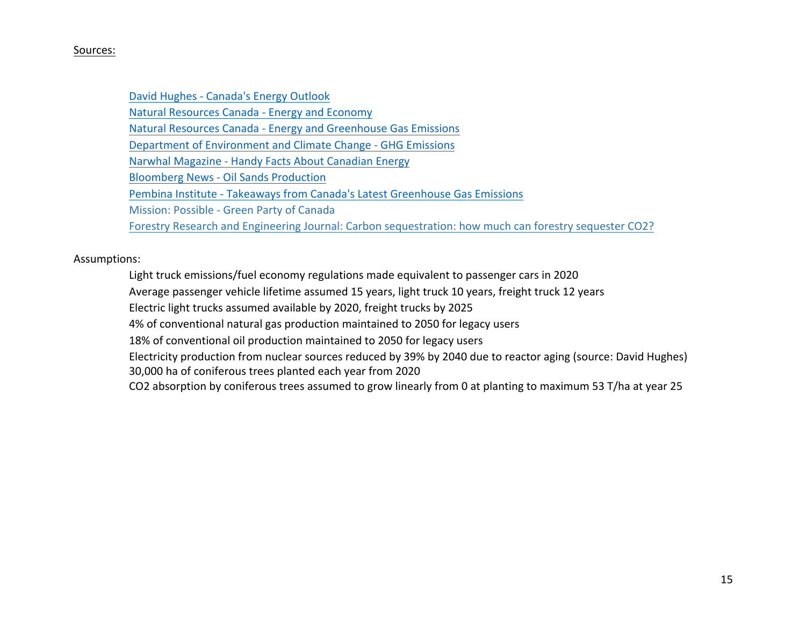### Sources:

David Hughes - Canada's Energy Outlook Natural Resources Canada - Energy and Economy Natural Resources Canada - Energy and Greenhouse Gas Emissions Department of Environment and Climate Change - GHG Emissions Narwhal Magazine - Handy Facts About Canadian Energy **Bloomberg News - Oil Sands Production** Pembina Institute - Takeaways from Canada's Latest Greenhouse Gas Emissions Mission: Possible - Green Party of Canada Forestry Research and Engineering Journal: Carbon sequestration: how much can forestry sequester CO2?

### Assumptions:

Light truck emissions/fuel economy regulations made equivalent to passenger cars in 2020

Average passenger vehicle lifetime assumed 15 years, light truck 10 years, freight truck 12 years

Electric light trucks assumed available by 2020, freight trucks by 2025

4% of conventional natural gas production maintained to 2050 for legacy users

18% of conventional oil production maintained to 2050 for legacy users

Electricity production from nuclear sources reduced by 39% by 2040 due to reactor aging (source: David Hughes) 30,000 ha of coniferous trees planted each year from 2020

CO2 absorption by coniferous trees assumed to grow linearly from 0 at planting to maximum 53 T/ha at year 25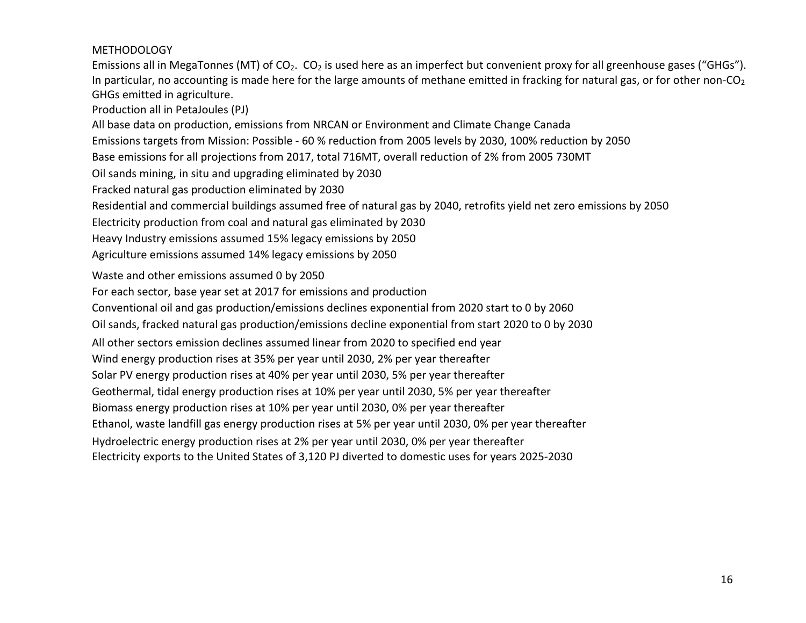### METHODOLOGY

Emissions all in MegaTonnes (MT) of CO<sub>2</sub>. CO<sub>2</sub> is used here as an imperfect but convenient proxy for all greenhouse gases ("GHGs"). In particular, no accounting is made here for the large amounts of methane emitted in fracking for natural gas, or for other non-CO<sub>2</sub> GHGs emitted in agriculture.

Production all in PetaJoules (PJ)

All base data on production, emissions from NRCAN or Environment and Climate Change Canada

Emissions targets from Mission: Possible - 60 % reduction from 2005 levels by 2030, 100% reduction by 2050

Base emissions for all projections from 2017, total 716MT, overall reduction of 2% from 2005 730MT

Oil sands mining, in situ and upgrading eliminated by 2030

Fracked natural gas production eliminated by 2030

Residential and commercial buildings assumed free of natural gas by 2040, retrofits yield net zero emissions by 2050

Electricity production from coal and natural gas eliminated by 2030

Heavy Industry emissions assumed 15% legacy emissions by 2050

Agriculture emissions assumed 14% legacy emissions by 2050

Waste and other emissions assumed 0 by 2050

For each sector, base year set at 2017 for emissions and production

Conventional oil and gas production/emissions declines exponential from 2020 start to 0 by 2060

Oil sands, fracked natural gas production/emissions decline exponential from start 2020 to 0 by 2030

All other sectors emission declines assumed linear from 2020 to specified end year

Wind energy production rises at 35% per year until 2030, 2% per year thereafter

Solar PV energy production rises at 40% per year until 2030, 5% per year thereafter

Geothermal, tidal energy production rises at 10% per year until 2030, 5% per year thereafter

Biomass energy production rises at 10% per year until 2030, 0% per year thereafter

Ethanol, waste landfill gas energy production rises at 5% per year until 2030, 0% per year thereafter

Hydroelectric energy production rises at 2% per year until 2030, 0% per year thereafter

Electricity exports to the United States of 3,120 PJ diverted to domestic uses for years 2025-2030